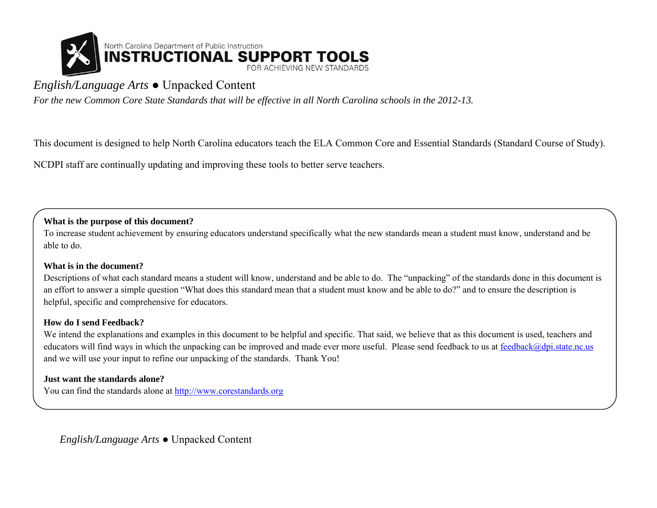

# *English/Language Arts* ● Unpacked Content

*For the new Common Core State Standards that will be effective in all North Carolina schools in the 2012-13.* 

This document is designed to help North Carolina educators teach the ELA Common Core and Essential Standards (Standard Course of Study).

NCDPI staff are continually updating and improving these tools to better serve teachers.

#### **What is the purpose of this document?**

To increase student achievement by ensuring educators understand specifically what the new standards mean a student must know, understand and be able to do.

#### **What is in the document?**

Descriptions of what each standard means a student will know, understand and be able to do. The "unpacking" of the standards done in this document is an effort to answer a simple question "What does this standard mean that a student must know and be able to do?" and to ensure the description is helpful, specific and comprehensive for educators.

#### **How do I send Feedback?**

We intend the explanations and examples in this document to be helpful and specific. That said, we believe that as this document is used, teachers and educators will find ways in which the unpacking can be improved and made ever more useful. Please send feedback to us at [feedback@dpi.state.nc.us](mailto:feedback@dpi.state.nc.us) and we will use your input to refine our unpacking of the standards. Thank You!

#### **Just want the standards alone?**

You can find the standards alone at [http://www.corestandards.org](http://www.corestandards.org/)

*English/Language Arts* ● Unpacked Content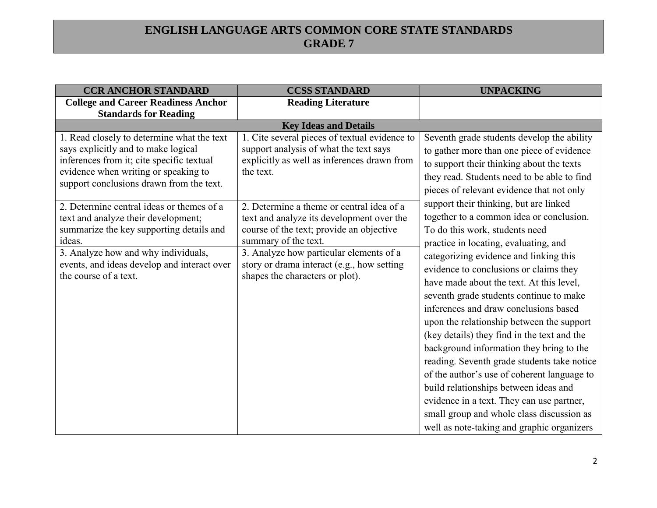| <b>CCR ANCHOR STANDARD</b>                                                                                                                                                                                                                            | <b>CCSS STANDARD</b>                                                                                                                                                                                                                                                                   | <b>UNPACKING</b>                                                                                                                                                                                                                                                                                                                                                                                                                                                                                                                                                                                                                                                                                                                                                                                         |
|-------------------------------------------------------------------------------------------------------------------------------------------------------------------------------------------------------------------------------------------------------|----------------------------------------------------------------------------------------------------------------------------------------------------------------------------------------------------------------------------------------------------------------------------------------|----------------------------------------------------------------------------------------------------------------------------------------------------------------------------------------------------------------------------------------------------------------------------------------------------------------------------------------------------------------------------------------------------------------------------------------------------------------------------------------------------------------------------------------------------------------------------------------------------------------------------------------------------------------------------------------------------------------------------------------------------------------------------------------------------------|
| <b>College and Career Readiness Anchor</b>                                                                                                                                                                                                            | <b>Reading Literature</b>                                                                                                                                                                                                                                                              |                                                                                                                                                                                                                                                                                                                                                                                                                                                                                                                                                                                                                                                                                                                                                                                                          |
| <b>Standards for Reading</b>                                                                                                                                                                                                                          |                                                                                                                                                                                                                                                                                        |                                                                                                                                                                                                                                                                                                                                                                                                                                                                                                                                                                                                                                                                                                                                                                                                          |
|                                                                                                                                                                                                                                                       | <b>Key Ideas and Details</b>                                                                                                                                                                                                                                                           |                                                                                                                                                                                                                                                                                                                                                                                                                                                                                                                                                                                                                                                                                                                                                                                                          |
| 1. Read closely to determine what the text<br>says explicitly and to make logical<br>inferences from it; cite specific textual<br>evidence when writing or speaking to<br>support conclusions drawn from the text.                                    | 1. Cite several pieces of textual evidence to<br>support analysis of what the text says<br>explicitly as well as inferences drawn from<br>the text.                                                                                                                                    | Seventh grade students develop the ability<br>to gather more than one piece of evidence<br>to support their thinking about the texts<br>they read. Students need to be able to find<br>pieces of relevant evidence that not only                                                                                                                                                                                                                                                                                                                                                                                                                                                                                                                                                                         |
| 2. Determine central ideas or themes of a<br>text and analyze their development;<br>summarize the key supporting details and<br>ideas.<br>3. Analyze how and why individuals,<br>events, and ideas develop and interact over<br>the course of a text. | 2. Determine a theme or central idea of a<br>text and analyze its development over the<br>course of the text; provide an objective<br>summary of the text.<br>3. Analyze how particular elements of a<br>story or drama interact (e.g., how setting<br>shapes the characters or plot). | support their thinking, but are linked<br>together to a common idea or conclusion.<br>To do this work, students need<br>practice in locating, evaluating, and<br>categorizing evidence and linking this<br>evidence to conclusions or claims they<br>have made about the text. At this level,<br>seventh grade students continue to make<br>inferences and draw conclusions based<br>upon the relationship between the support<br>(key details) they find in the text and the<br>background information they bring to the<br>reading. Seventh grade students take notice<br>of the author's use of coherent language to<br>build relationships between ideas and<br>evidence in a text. They can use partner,<br>small group and whole class discussion as<br>well as note-taking and graphic organizers |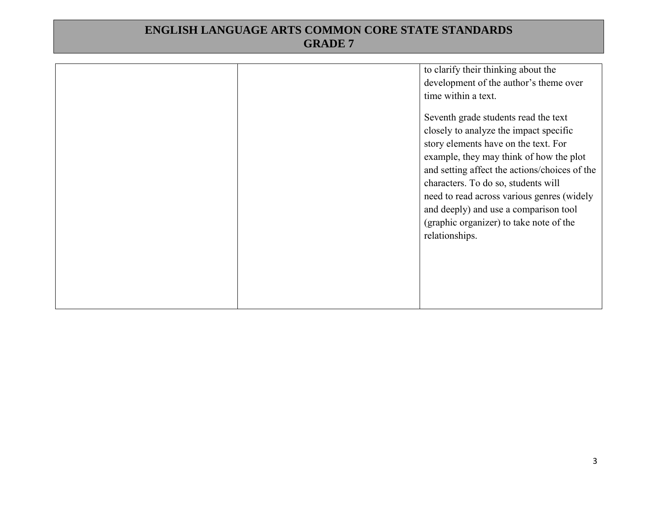|  | to clarify their thinking about the<br>development of the author's theme over<br>time within a text.<br>Seventh grade students read the text<br>closely to analyze the impact specific<br>story elements have on the text. For<br>example, they may think of how the plot<br>and setting affect the actions/choices of the<br>characters. To do so, students will<br>need to read across various genres (widely<br>and deeply) and use a comparison tool<br>(graphic organizer) to take note of the<br>relationships. |
|--|-----------------------------------------------------------------------------------------------------------------------------------------------------------------------------------------------------------------------------------------------------------------------------------------------------------------------------------------------------------------------------------------------------------------------------------------------------------------------------------------------------------------------|
|--|-----------------------------------------------------------------------------------------------------------------------------------------------------------------------------------------------------------------------------------------------------------------------------------------------------------------------------------------------------------------------------------------------------------------------------------------------------------------------------------------------------------------------|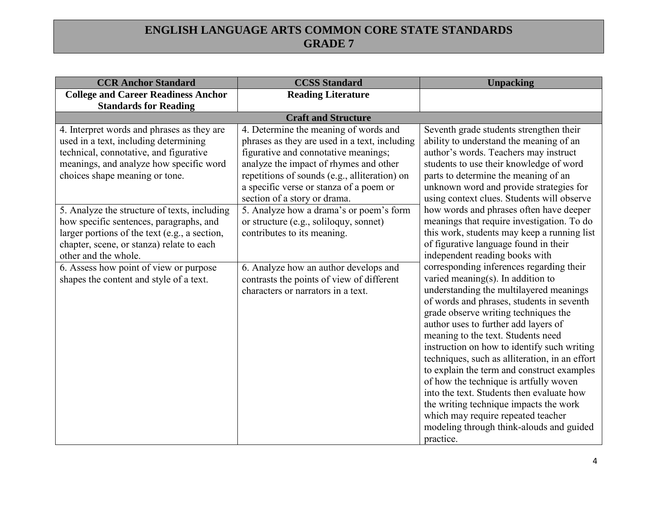| <b>CCR Anchor Standard</b>                    | <b>CCSS Standard</b>                          | <b>Unpacking</b>                               |
|-----------------------------------------------|-----------------------------------------------|------------------------------------------------|
| <b>College and Career Readiness Anchor</b>    | <b>Reading Literature</b>                     |                                                |
| <b>Standards for Reading</b>                  |                                               |                                                |
|                                               | <b>Craft and Structure</b>                    |                                                |
| 4. Interpret words and phrases as they are    | 4. Determine the meaning of words and         | Seventh grade students strengthen their        |
| used in a text, including determining         | phrases as they are used in a text, including | ability to understand the meaning of an        |
| technical, connotative, and figurative        | figurative and connotative meanings;          | author's words. Teachers may instruct          |
| meanings, and analyze how specific word       | analyze the impact of rhymes and other        | students to use their knowledge of word        |
| choices shape meaning or tone.                | repetitions of sounds (e.g., alliteration) on | parts to determine the meaning of an           |
|                                               | a specific verse or stanza of a poem or       | unknown word and provide strategies for        |
|                                               | section of a story or drama.                  | using context clues. Students will observe     |
| 5. Analyze the structure of texts, including  | 5. Analyze how a drama's or poem's form       | how words and phrases often have deeper        |
| how specific sentences, paragraphs, and       | or structure (e.g., soliloquy, sonnet)        | meanings that require investigation. To do     |
| larger portions of the text (e.g., a section, | contributes to its meaning.                   | this work, students may keep a running list    |
| chapter, scene, or stanza) relate to each     |                                               | of figurative language found in their          |
| other and the whole.                          |                                               | independent reading books with                 |
| 6. Assess how point of view or purpose        | 6. Analyze how an author develops and         | corresponding inferences regarding their       |
| shapes the content and style of a text.       | contrasts the points of view of different     | varied meaning(s). In addition to              |
|                                               | characters or narrators in a text.            | understanding the multilayered meanings        |
|                                               |                                               | of words and phrases, students in seventh      |
|                                               |                                               | grade observe writing techniques the           |
|                                               |                                               | author uses to further add layers of           |
|                                               |                                               | meaning to the text. Students need             |
|                                               |                                               | instruction on how to identify such writing    |
|                                               |                                               | techniques, such as alliteration, in an effort |
|                                               |                                               | to explain the term and construct examples     |
|                                               |                                               | of how the technique is artfully woven         |
|                                               |                                               | into the text. Students then evaluate how      |
|                                               |                                               | the writing technique impacts the work         |
|                                               |                                               | which may require repeated teacher             |
|                                               |                                               | modeling through think-alouds and guided       |
|                                               |                                               | practice.                                      |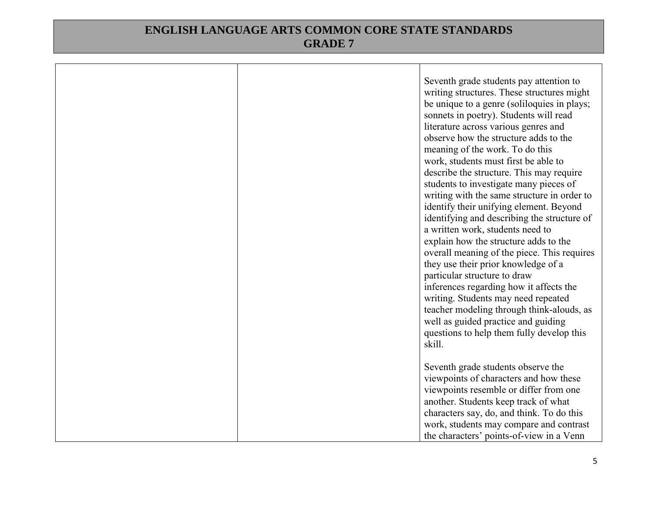|  | Seventh grade students pay attention to<br>writing structures. These structures might<br>be unique to a genre (soliloquies in plays;<br>sonnets in poetry). Students will read<br>literature across various genres and<br>observe how the structure adds to the<br>meaning of the work. To do this<br>work, students must first be able to<br>describe the structure. This may require<br>students to investigate many pieces of<br>writing with the same structure in order to<br>identify their unifying element. Beyond<br>identifying and describing the structure of<br>a written work, students need to<br>explain how the structure adds to the<br>overall meaning of the piece. This requires<br>they use their prior knowledge of a<br>particular structure to draw<br>inferences regarding how it affects the |
|--|-------------------------------------------------------------------------------------------------------------------------------------------------------------------------------------------------------------------------------------------------------------------------------------------------------------------------------------------------------------------------------------------------------------------------------------------------------------------------------------------------------------------------------------------------------------------------------------------------------------------------------------------------------------------------------------------------------------------------------------------------------------------------------------------------------------------------|
|  | writing. Students may need repeated<br>teacher modeling through think-alouds, as                                                                                                                                                                                                                                                                                                                                                                                                                                                                                                                                                                                                                                                                                                                                        |
|  | well as guided practice and guiding<br>questions to help them fully develop this<br>skill.                                                                                                                                                                                                                                                                                                                                                                                                                                                                                                                                                                                                                                                                                                                              |
|  | Seventh grade students observe the<br>viewpoints of characters and how these<br>viewpoints resemble or differ from one<br>another. Students keep track of what<br>characters say, do, and think. To do this<br>work, students may compare and contrast<br>the characters' points-of-view in a Venn                                                                                                                                                                                                                                                                                                                                                                                                                                                                                                                      |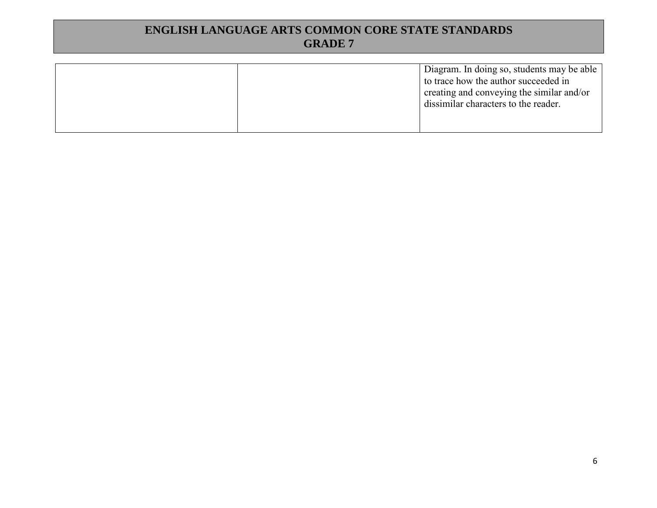|  | Diagram. In doing so, students may be able<br>to trace how the author succeeded in<br>creating and conveying the similar and/or<br>dissimilar characters to the reader. |
|--|-------------------------------------------------------------------------------------------------------------------------------------------------------------------------|
|  |                                                                                                                                                                         |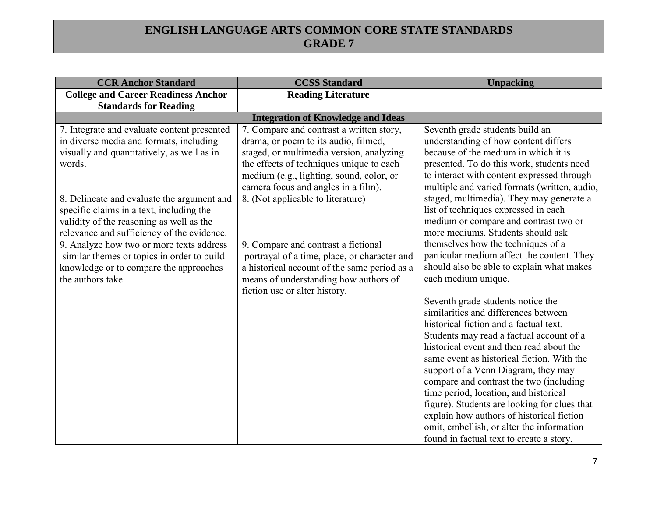| <b>CCR Anchor Standard</b>                                                                                                                                                                                                                                                                                                                                                                                                                                                                  | <b>CCSS Standard</b>                                                                                                                                                                                                                                                                                                                                                                                                                                                                                                                                           | <b>Unpacking</b>                                                                                                                                                                                                                                                                                                                                                                                                                                                                                                                                                                                                                                                                                                                                                                                                                                                                                                                                                                                                             |  |  |
|---------------------------------------------------------------------------------------------------------------------------------------------------------------------------------------------------------------------------------------------------------------------------------------------------------------------------------------------------------------------------------------------------------------------------------------------------------------------------------------------|----------------------------------------------------------------------------------------------------------------------------------------------------------------------------------------------------------------------------------------------------------------------------------------------------------------------------------------------------------------------------------------------------------------------------------------------------------------------------------------------------------------------------------------------------------------|------------------------------------------------------------------------------------------------------------------------------------------------------------------------------------------------------------------------------------------------------------------------------------------------------------------------------------------------------------------------------------------------------------------------------------------------------------------------------------------------------------------------------------------------------------------------------------------------------------------------------------------------------------------------------------------------------------------------------------------------------------------------------------------------------------------------------------------------------------------------------------------------------------------------------------------------------------------------------------------------------------------------------|--|--|
| <b>College and Career Readiness Anchor</b>                                                                                                                                                                                                                                                                                                                                                                                                                                                  | <b>Reading Literature</b>                                                                                                                                                                                                                                                                                                                                                                                                                                                                                                                                      |                                                                                                                                                                                                                                                                                                                                                                                                                                                                                                                                                                                                                                                                                                                                                                                                                                                                                                                                                                                                                              |  |  |
|                                                                                                                                                                                                                                                                                                                                                                                                                                                                                             | <b>Standards for Reading</b>                                                                                                                                                                                                                                                                                                                                                                                                                                                                                                                                   |                                                                                                                                                                                                                                                                                                                                                                                                                                                                                                                                                                                                                                                                                                                                                                                                                                                                                                                                                                                                                              |  |  |
| 7. Integrate and evaluate content presented<br>in diverse media and formats, including<br>visually and quantitatively, as well as in<br>words.<br>8. Delineate and evaluate the argument and<br>specific claims in a text, including the<br>validity of the reasoning as well as the<br>relevance and sufficiency of the evidence.<br>9. Analyze how two or more texts address<br>similar themes or topics in order to build<br>knowledge or to compare the approaches<br>the authors take. | <b>Integration of Knowledge and Ideas</b><br>7. Compare and contrast a written story,<br>drama, or poem to its audio, filmed,<br>staged, or multimedia version, analyzing<br>the effects of techniques unique to each<br>medium (e.g., lighting, sound, color, or<br>camera focus and angles in a film).<br>8. (Not applicable to literature)<br>9. Compare and contrast a fictional<br>portrayal of a time, place, or character and<br>a historical account of the same period as a<br>means of understanding how authors of<br>fiction use or alter history. | Seventh grade students build an<br>understanding of how content differs<br>because of the medium in which it is<br>presented. To do this work, students need<br>to interact with content expressed through<br>multiple and varied formats (written, audio,<br>staged, multimedia). They may generate a<br>list of techniques expressed in each<br>medium or compare and contrast two or<br>more mediums. Students should ask<br>themselves how the techniques of a<br>particular medium affect the content. They<br>should also be able to explain what makes<br>each medium unique.<br>Seventh grade students notice the<br>similarities and differences between<br>historical fiction and a factual text.<br>Students may read a factual account of a<br>historical event and then read about the<br>same event as historical fiction. With the<br>support of a Venn Diagram, they may<br>compare and contrast the two (including<br>time period, location, and historical<br>figure). Students are looking for clues that |  |  |
|                                                                                                                                                                                                                                                                                                                                                                                                                                                                                             |                                                                                                                                                                                                                                                                                                                                                                                                                                                                                                                                                                | explain how authors of historical fiction<br>omit, embellish, or alter the information<br>found in factual text to create a story.                                                                                                                                                                                                                                                                                                                                                                                                                                                                                                                                                                                                                                                                                                                                                                                                                                                                                           |  |  |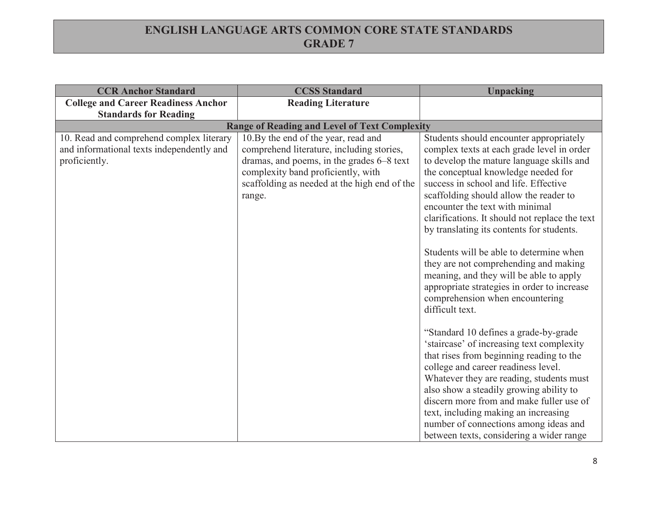| <b>CCR Anchor Standard</b>                                                                             | <b>CCSS Standard</b>                                                                                                                                                                                                          | <b>Unpacking</b>                                                                                                                                                                                                                                                                                                                                                                                                                                                                                                                                                                                                                                                                                                                                                                                                                                                                                                                                                                                                                                                             |
|--------------------------------------------------------------------------------------------------------|-------------------------------------------------------------------------------------------------------------------------------------------------------------------------------------------------------------------------------|------------------------------------------------------------------------------------------------------------------------------------------------------------------------------------------------------------------------------------------------------------------------------------------------------------------------------------------------------------------------------------------------------------------------------------------------------------------------------------------------------------------------------------------------------------------------------------------------------------------------------------------------------------------------------------------------------------------------------------------------------------------------------------------------------------------------------------------------------------------------------------------------------------------------------------------------------------------------------------------------------------------------------------------------------------------------------|
| <b>College and Career Readiness Anchor</b>                                                             | <b>Reading Literature</b>                                                                                                                                                                                                     |                                                                                                                                                                                                                                                                                                                                                                                                                                                                                                                                                                                                                                                                                                                                                                                                                                                                                                                                                                                                                                                                              |
| <b>Standards for Reading</b>                                                                           |                                                                                                                                                                                                                               |                                                                                                                                                                                                                                                                                                                                                                                                                                                                                                                                                                                                                                                                                                                                                                                                                                                                                                                                                                                                                                                                              |
|                                                                                                        | <b>Range of Reading and Level of Text Complexity</b>                                                                                                                                                                          |                                                                                                                                                                                                                                                                                                                                                                                                                                                                                                                                                                                                                                                                                                                                                                                                                                                                                                                                                                                                                                                                              |
| 10. Read and comprehend complex literary<br>and informational texts independently and<br>proficiently. | 10.By the end of the year, read and<br>comprehend literature, including stories,<br>dramas, and poems, in the grades 6–8 text<br>complexity band proficiently, with<br>scaffolding as needed at the high end of the<br>range. | Students should encounter appropriately<br>complex texts at each grade level in order<br>to develop the mature language skills and<br>the conceptual knowledge needed for<br>success in school and life. Effective<br>scaffolding should allow the reader to<br>encounter the text with minimal<br>clarifications. It should not replace the text<br>by translating its contents for students.<br>Students will be able to determine when<br>they are not comprehending and making<br>meaning, and they will be able to apply<br>appropriate strategies in order to increase<br>comprehension when encountering<br>difficult text.<br>"Standard 10 defines a grade-by-grade"<br>'staircase' of increasing text complexity<br>that rises from beginning reading to the<br>college and career readiness level.<br>Whatever they are reading, students must<br>also show a steadily growing ability to<br>discern more from and make fuller use of<br>text, including making an increasing<br>number of connections among ideas and<br>between texts, considering a wider range |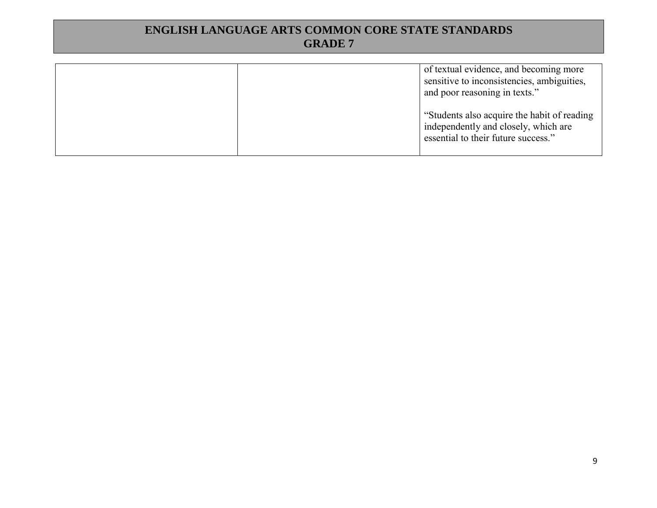|  | of textual evidence, and becoming more<br>sensitive to inconsistencies, ambiguities,<br>and poor reasoning in texts."       |
|--|-----------------------------------------------------------------------------------------------------------------------------|
|  | "Students also acquire the habit of reading"<br>independently and closely, which are<br>essential to their future success." |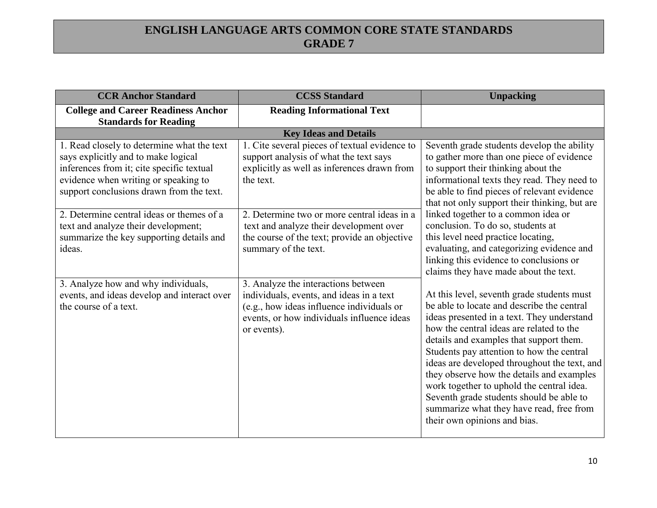| <b>CCR Anchor Standard</b>                                                                                                                                                                                         | <b>CCSS Standard</b>                                                                                                                                                                      | <b>Unpacking</b>                                                                                                                                                                                                                                                                                                                                                                                                                                                                                                                             |
|--------------------------------------------------------------------------------------------------------------------------------------------------------------------------------------------------------------------|-------------------------------------------------------------------------------------------------------------------------------------------------------------------------------------------|----------------------------------------------------------------------------------------------------------------------------------------------------------------------------------------------------------------------------------------------------------------------------------------------------------------------------------------------------------------------------------------------------------------------------------------------------------------------------------------------------------------------------------------------|
| <b>College and Career Readiness Anchor</b><br><b>Standards for Reading</b>                                                                                                                                         | <b>Reading Informational Text</b>                                                                                                                                                         |                                                                                                                                                                                                                                                                                                                                                                                                                                                                                                                                              |
|                                                                                                                                                                                                                    | <b>Key Ideas and Details</b>                                                                                                                                                              |                                                                                                                                                                                                                                                                                                                                                                                                                                                                                                                                              |
| 1. Read closely to determine what the text<br>says explicitly and to make logical<br>inferences from it; cite specific textual<br>evidence when writing or speaking to<br>support conclusions drawn from the text. | 1. Cite several pieces of textual evidence to<br>support analysis of what the text says<br>explicitly as well as inferences drawn from<br>the text.                                       | Seventh grade students develop the ability<br>to gather more than one piece of evidence<br>to support their thinking about the<br>informational texts they read. They need to<br>be able to find pieces of relevant evidence<br>that not only support their thinking, but are                                                                                                                                                                                                                                                                |
| 2. Determine central ideas or themes of a<br>text and analyze their development;<br>summarize the key supporting details and<br>ideas.                                                                             | 2. Determine two or more central ideas in a<br>text and analyze their development over<br>the course of the text; provide an objective<br>summary of the text.                            | linked together to a common idea or<br>conclusion. To do so, students at<br>this level need practice locating,<br>evaluating, and categorizing evidence and<br>linking this evidence to conclusions or<br>claims they have made about the text.                                                                                                                                                                                                                                                                                              |
| 3. Analyze how and why individuals,<br>events, and ideas develop and interact over<br>the course of a text.                                                                                                        | 3. Analyze the interactions between<br>individuals, events, and ideas in a text<br>(e.g., how ideas influence individuals or<br>events, or how individuals influence ideas<br>or events). | At this level, seventh grade students must<br>be able to locate and describe the central<br>ideas presented in a text. They understand<br>how the central ideas are related to the<br>details and examples that support them.<br>Students pay attention to how the central<br>ideas are developed throughout the text, and<br>they observe how the details and examples<br>work together to uphold the central idea.<br>Seventh grade students should be able to<br>summarize what they have read, free from<br>their own opinions and bias. |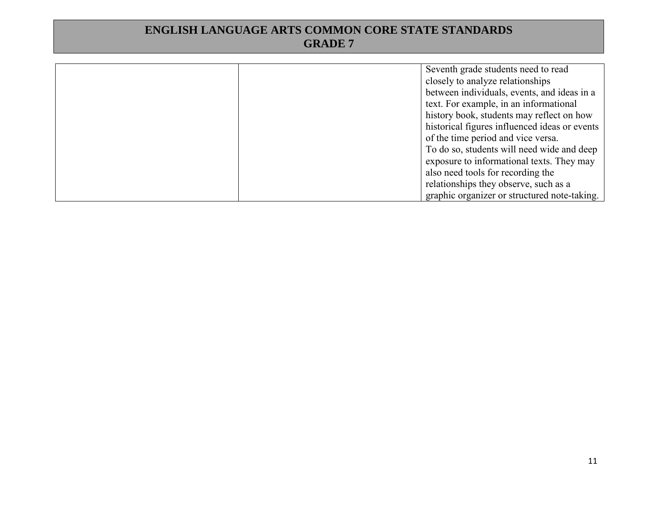| Seventh grade students need to read           |
|-----------------------------------------------|
| closely to analyze relationships              |
| between individuals, events, and ideas in a   |
| text. For example, in an informational        |
| history book, students may reflect on how     |
| historical figures influenced ideas or events |
| of the time period and vice versa.            |
| To do so, students will need wide and deep    |
| exposure to informational texts. They may     |
| also need tools for recording the             |
| relationships they observe, such as a         |
| graphic organizer or structured note-taking.  |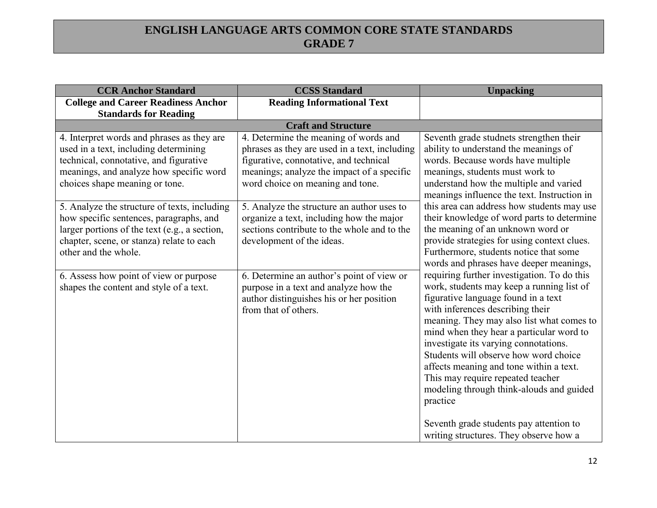| <b>CCR Anchor Standard</b>                                                                                                                                                                                    | <b>CCSS Standard</b>                                                                                                                                                                                               | <b>Unpacking</b>                                                                                                                                                                                                                                                                                                                                                                                                                                                                                                                                                            |
|---------------------------------------------------------------------------------------------------------------------------------------------------------------------------------------------------------------|--------------------------------------------------------------------------------------------------------------------------------------------------------------------------------------------------------------------|-----------------------------------------------------------------------------------------------------------------------------------------------------------------------------------------------------------------------------------------------------------------------------------------------------------------------------------------------------------------------------------------------------------------------------------------------------------------------------------------------------------------------------------------------------------------------------|
| <b>College and Career Readiness Anchor</b>                                                                                                                                                                    | <b>Reading Informational Text</b>                                                                                                                                                                                  |                                                                                                                                                                                                                                                                                                                                                                                                                                                                                                                                                                             |
| <b>Standards for Reading</b>                                                                                                                                                                                  |                                                                                                                                                                                                                    |                                                                                                                                                                                                                                                                                                                                                                                                                                                                                                                                                                             |
|                                                                                                                                                                                                               | <b>Craft and Structure</b>                                                                                                                                                                                         |                                                                                                                                                                                                                                                                                                                                                                                                                                                                                                                                                                             |
| 4. Interpret words and phrases as they are<br>used in a text, including determining<br>technical, connotative, and figurative<br>meanings, and analyze how specific word<br>choices shape meaning or tone.    | 4. Determine the meaning of words and<br>phrases as they are used in a text, including<br>figurative, connotative, and technical<br>meanings; analyze the impact of a specific<br>word choice on meaning and tone. | Seventh grade studnets strengthen their<br>ability to understand the meanings of<br>words. Because words have multiple<br>meanings, students must work to<br>understand how the multiple and varied<br>meanings influence the text. Instruction in                                                                                                                                                                                                                                                                                                                          |
| 5. Analyze the structure of texts, including<br>how specific sentences, paragraphs, and<br>larger portions of the text (e.g., a section,<br>chapter, scene, or stanza) relate to each<br>other and the whole. | 5. Analyze the structure an author uses to<br>organize a text, including how the major<br>sections contribute to the whole and to the<br>development of the ideas.                                                 | this area can address how students may use<br>their knowledge of word parts to determine<br>the meaning of an unknown word or<br>provide strategies for using context clues.<br>Furthermore, students notice that some<br>words and phrases have deeper meanings,                                                                                                                                                                                                                                                                                                           |
| 6. Assess how point of view or purpose<br>shapes the content and style of a text.                                                                                                                             | 6. Determine an author's point of view or<br>purpose in a text and analyze how the<br>author distinguishes his or her position<br>from that of others.                                                             | requiring further investigation. To do this<br>work, students may keep a running list of<br>figurative language found in a text<br>with inferences describing their<br>meaning. They may also list what comes to<br>mind when they hear a particular word to<br>investigate its varying connotations.<br>Students will observe how word choice<br>affects meaning and tone within a text.<br>This may require repeated teacher<br>modeling through think-alouds and guided<br>practice<br>Seventh grade students pay attention to<br>writing structures. They observe how a |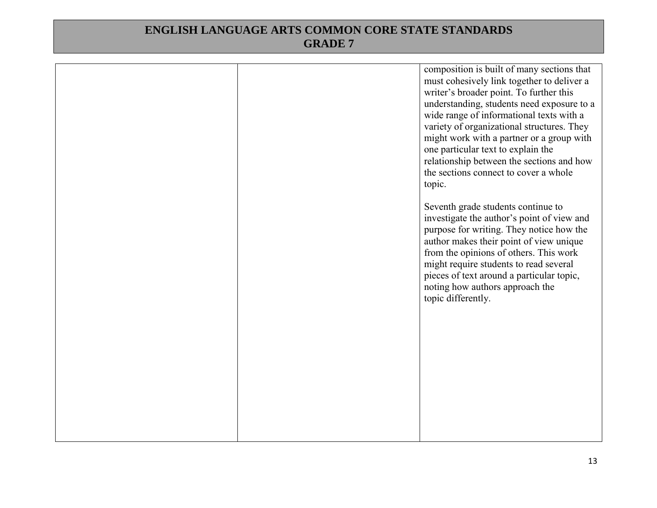|  | composition is built of many sections that<br>must cohesively link together to deliver a<br>writer's broader point. To further this<br>understanding, students need exposure to a<br>wide range of informational texts with a<br>variety of organizational structures. They<br>might work with a partner or a group with<br>one particular text to explain the<br>relationship between the sections and how<br>the sections connect to cover a whole<br>topic. |
|--|----------------------------------------------------------------------------------------------------------------------------------------------------------------------------------------------------------------------------------------------------------------------------------------------------------------------------------------------------------------------------------------------------------------------------------------------------------------|
|  | Seventh grade students continue to<br>investigate the author's point of view and<br>purpose for writing. They notice how the<br>author makes their point of view unique<br>from the opinions of others. This work<br>might require students to read several<br>pieces of text around a particular topic,<br>noting how authors approach the<br>topic differently.                                                                                              |
|  |                                                                                                                                                                                                                                                                                                                                                                                                                                                                |
|  |                                                                                                                                                                                                                                                                                                                                                                                                                                                                |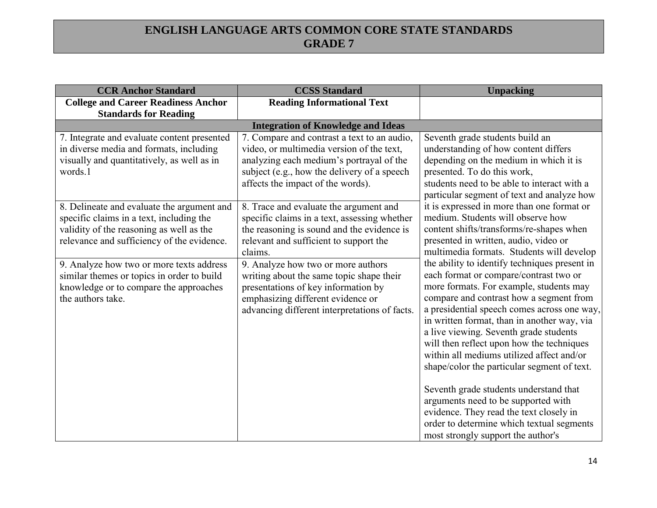| <b>CCR Anchor Standard</b>                                                                                                                                                       | <b>CCSS Standard</b>                                                                                                                                                                                                     | <b>Unpacking</b>                                                                                                                                                                                                                                                                                                                                                                                                                                                                                                                                                                                                                                                              |
|----------------------------------------------------------------------------------------------------------------------------------------------------------------------------------|--------------------------------------------------------------------------------------------------------------------------------------------------------------------------------------------------------------------------|-------------------------------------------------------------------------------------------------------------------------------------------------------------------------------------------------------------------------------------------------------------------------------------------------------------------------------------------------------------------------------------------------------------------------------------------------------------------------------------------------------------------------------------------------------------------------------------------------------------------------------------------------------------------------------|
| <b>College and Career Readiness Anchor</b>                                                                                                                                       | <b>Reading Informational Text</b>                                                                                                                                                                                        |                                                                                                                                                                                                                                                                                                                                                                                                                                                                                                                                                                                                                                                                               |
| <b>Standards for Reading</b>                                                                                                                                                     |                                                                                                                                                                                                                          |                                                                                                                                                                                                                                                                                                                                                                                                                                                                                                                                                                                                                                                                               |
|                                                                                                                                                                                  | <b>Integration of Knowledge and Ideas</b>                                                                                                                                                                                |                                                                                                                                                                                                                                                                                                                                                                                                                                                                                                                                                                                                                                                                               |
| 7. Integrate and evaluate content presented<br>in diverse media and formats, including<br>visually and quantitatively, as well as in<br>words.1                                  | 7. Compare and contrast a text to an audio,<br>video, or multimedia version of the text,<br>analyzing each medium's portrayal of the<br>subject (e.g., how the delivery of a speech<br>affects the impact of the words). | Seventh grade students build an<br>understanding of how content differs<br>depending on the medium in which it is<br>presented. To do this work,<br>students need to be able to interact with a<br>particular segment of text and analyze how                                                                                                                                                                                                                                                                                                                                                                                                                                 |
| 8. Delineate and evaluate the argument and<br>specific claims in a text, including the<br>validity of the reasoning as well as the<br>relevance and sufficiency of the evidence. | 8. Trace and evaluate the argument and<br>specific claims in a text, assessing whether<br>the reasoning is sound and the evidence is<br>relevant and sufficient to support the<br>claims.                                | it is expressed in more than one format or<br>medium. Students will observe how<br>content shifts/transforms/re-shapes when<br>presented in written, audio, video or<br>multimedia formats. Students will develop                                                                                                                                                                                                                                                                                                                                                                                                                                                             |
| 9. Analyze how two or more texts address<br>similar themes or topics in order to build<br>knowledge or to compare the approaches<br>the authors take.                            | 9. Analyze how two or more authors<br>writing about the same topic shape their<br>presentations of key information by<br>emphasizing different evidence or<br>advancing different interpretations of facts.              | the ability to identify techniques present in<br>each format or compare/contrast two or<br>more formats. For example, students may<br>compare and contrast how a segment from<br>a presidential speech comes across one way,<br>in written format, than in another way, via<br>a live viewing. Seventh grade students<br>will then reflect upon how the techniques<br>within all mediums utilized affect and/or<br>shape/color the particular segment of text.<br>Seventh grade students understand that<br>arguments need to be supported with<br>evidence. They read the text closely in<br>order to determine which textual segments<br>most strongly support the author's |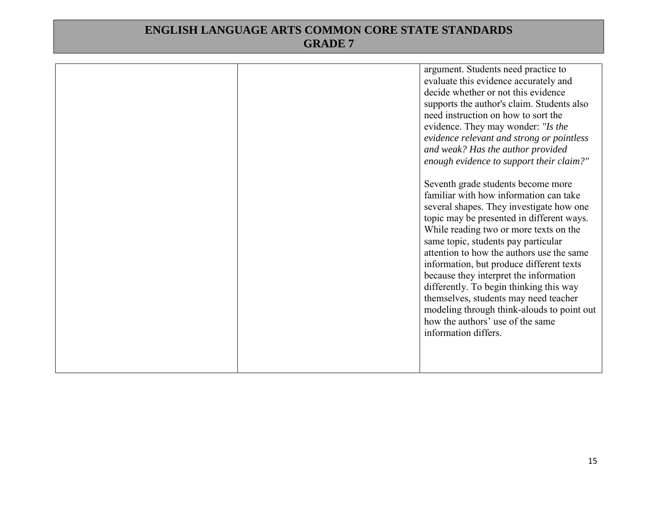|  | argument. Students need practice to<br>evaluate this evidence accurately and<br>decide whether or not this evidence<br>supports the author's claim. Students also<br>need instruction on how to sort the<br>evidence. They may wonder: "Is the<br>evidence relevant and strong or pointless<br>and weak? Has the author provided<br>enough evidence to support their claim?"                                                                                                                                                                                                            |
|--|-----------------------------------------------------------------------------------------------------------------------------------------------------------------------------------------------------------------------------------------------------------------------------------------------------------------------------------------------------------------------------------------------------------------------------------------------------------------------------------------------------------------------------------------------------------------------------------------|
|  | Seventh grade students become more<br>familiar with how information can take<br>several shapes. They investigate how one<br>topic may be presented in different ways.<br>While reading two or more texts on the<br>same topic, students pay particular<br>attention to how the authors use the same<br>information, but produce different texts<br>because they interpret the information<br>differently. To begin thinking this way<br>themselves, students may need teacher<br>modeling through think-alouds to point out<br>how the authors' use of the same<br>information differs. |
|  |                                                                                                                                                                                                                                                                                                                                                                                                                                                                                                                                                                                         |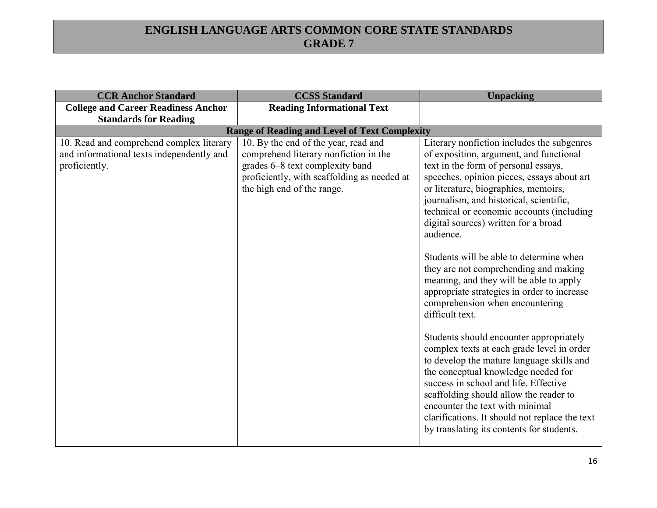| <b>CCR Anchor Standard</b>                                                                             | <b>CCSS Standard</b>                                                                                                                                                                          | <b>Unpacking</b>                                                                                                                                                                                                                                                                                                                                                                                                                                                                                                                                                                                                                                                                                                                                                                                                                                                                                                                                                                                       |
|--------------------------------------------------------------------------------------------------------|-----------------------------------------------------------------------------------------------------------------------------------------------------------------------------------------------|--------------------------------------------------------------------------------------------------------------------------------------------------------------------------------------------------------------------------------------------------------------------------------------------------------------------------------------------------------------------------------------------------------------------------------------------------------------------------------------------------------------------------------------------------------------------------------------------------------------------------------------------------------------------------------------------------------------------------------------------------------------------------------------------------------------------------------------------------------------------------------------------------------------------------------------------------------------------------------------------------------|
| <b>College and Career Readiness Anchor</b>                                                             | <b>Reading Informational Text</b>                                                                                                                                                             |                                                                                                                                                                                                                                                                                                                                                                                                                                                                                                                                                                                                                                                                                                                                                                                                                                                                                                                                                                                                        |
| <b>Standards for Reading</b>                                                                           |                                                                                                                                                                                               |                                                                                                                                                                                                                                                                                                                                                                                                                                                                                                                                                                                                                                                                                                                                                                                                                                                                                                                                                                                                        |
|                                                                                                        | <b>Range of Reading and Level of Text Complexity</b>                                                                                                                                          |                                                                                                                                                                                                                                                                                                                                                                                                                                                                                                                                                                                                                                                                                                                                                                                                                                                                                                                                                                                                        |
| 10. Read and comprehend complex literary<br>and informational texts independently and<br>proficiently. | 10. By the end of the year, read and<br>comprehend literary nonfiction in the<br>grades 6–8 text complexity band<br>proficiently, with scaffolding as needed at<br>the high end of the range. | Literary nonfiction includes the subgenres<br>of exposition, argument, and functional<br>text in the form of personal essays,<br>speeches, opinion pieces, essays about art<br>or literature, biographies, memoirs,<br>journalism, and historical, scientific,<br>technical or economic accounts (including<br>digital sources) written for a broad<br>audience.<br>Students will be able to determine when<br>they are not comprehending and making<br>meaning, and they will be able to apply<br>appropriate strategies in order to increase<br>comprehension when encountering<br>difficult text.<br>Students should encounter appropriately<br>complex texts at each grade level in order<br>to develop the mature language skills and<br>the conceptual knowledge needed for<br>success in school and life. Effective<br>scaffolding should allow the reader to<br>encounter the text with minimal<br>clarifications. It should not replace the text<br>by translating its contents for students. |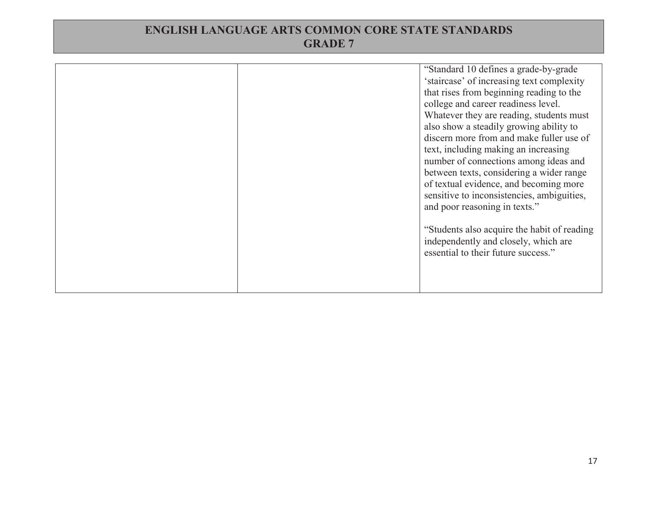|  |  | "Standard 10 defines a grade-by-grade"<br>'staircase' of increasing text complexity<br>that rises from beginning reading to the<br>college and career readiness level.<br>Whatever they are reading, students must<br>also show a steadily growing ability to<br>discern more from and make fuller use of<br>text, including making an increasing<br>number of connections among ideas and<br>between texts, considering a wider range<br>of textual evidence, and becoming more<br>sensitive to inconsistencies, ambiguities,<br>and poor reasoning in texts."<br>"Students also acquire the habit of reading<br>independently and closely, which are<br>essential to their future success." |
|--|--|-----------------------------------------------------------------------------------------------------------------------------------------------------------------------------------------------------------------------------------------------------------------------------------------------------------------------------------------------------------------------------------------------------------------------------------------------------------------------------------------------------------------------------------------------------------------------------------------------------------------------------------------------------------------------------------------------|
|--|--|-----------------------------------------------------------------------------------------------------------------------------------------------------------------------------------------------------------------------------------------------------------------------------------------------------------------------------------------------------------------------------------------------------------------------------------------------------------------------------------------------------------------------------------------------------------------------------------------------------------------------------------------------------------------------------------------------|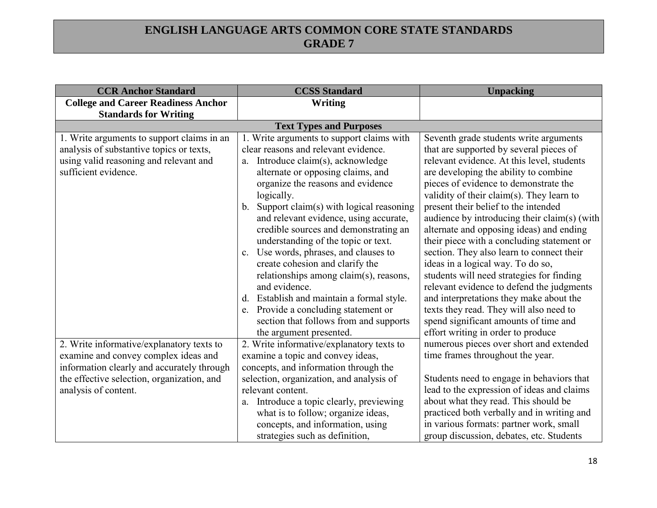| <b>CCR Anchor Standard</b>                                                                                                                                                                            | <b>CCSS Standard</b>                                                                                                                                                                                                                                                                                                                                                                         | <b>Unpacking</b>                                                                                                                                                                                                                                                                                                                                                                                                                        |  |
|-------------------------------------------------------------------------------------------------------------------------------------------------------------------------------------------------------|----------------------------------------------------------------------------------------------------------------------------------------------------------------------------------------------------------------------------------------------------------------------------------------------------------------------------------------------------------------------------------------------|-----------------------------------------------------------------------------------------------------------------------------------------------------------------------------------------------------------------------------------------------------------------------------------------------------------------------------------------------------------------------------------------------------------------------------------------|--|
| <b>College and Career Readiness Anchor</b>                                                                                                                                                            | <b>Writing</b>                                                                                                                                                                                                                                                                                                                                                                               |                                                                                                                                                                                                                                                                                                                                                                                                                                         |  |
| <b>Standards for Writing</b>                                                                                                                                                                          |                                                                                                                                                                                                                                                                                                                                                                                              |                                                                                                                                                                                                                                                                                                                                                                                                                                         |  |
|                                                                                                                                                                                                       | <b>Text Types and Purposes</b>                                                                                                                                                                                                                                                                                                                                                               |                                                                                                                                                                                                                                                                                                                                                                                                                                         |  |
| 1. Write arguments to support claims in an<br>analysis of substantive topics or texts,<br>using valid reasoning and relevant and<br>sufficient evidence.                                              | 1. Write arguments to support claims with<br>clear reasons and relevant evidence.<br>Introduce claim(s), acknowledge<br>a.<br>alternate or opposing claims, and<br>organize the reasons and evidence<br>logically.<br>Support claim(s) with logical reasoning<br>b.<br>and relevant evidence, using accurate,                                                                                | Seventh grade students write arguments<br>that are supported by several pieces of<br>relevant evidence. At this level, students<br>are developing the ability to combine<br>pieces of evidence to demonstrate the<br>validity of their claim(s). They learn to<br>present their belief to the intended<br>audience by introducing their claim(s) (with                                                                                  |  |
|                                                                                                                                                                                                       | credible sources and demonstrating an<br>understanding of the topic or text.<br>Use words, phrases, and clauses to<br>$c_{\cdot}$<br>create cohesion and clarify the<br>relationships among claim(s), reasons,<br>and evidence.<br>d. Establish and maintain a formal style.<br>Provide a concluding statement or<br>e.<br>section that follows from and supports<br>the argument presented. | alternate and opposing ideas) and ending<br>their piece with a concluding statement or<br>section. They also learn to connect their<br>ideas in a logical way. To do so,<br>students will need strategies for finding<br>relevant evidence to defend the judgments<br>and interpretations they make about the<br>texts they read. They will also need to<br>spend significant amounts of time and<br>effort writing in order to produce |  |
| 2. Write informative/explanatory texts to<br>examine and convey complex ideas and<br>information clearly and accurately through<br>the effective selection, organization, and<br>analysis of content. | 2. Write informative/explanatory texts to<br>examine a topic and convey ideas,<br>concepts, and information through the<br>selection, organization, and analysis of<br>relevant content.                                                                                                                                                                                                     | numerous pieces over short and extended<br>time frames throughout the year.<br>Students need to engage in behaviors that<br>lead to the expression of ideas and claims                                                                                                                                                                                                                                                                  |  |
|                                                                                                                                                                                                       | Introduce a topic clearly, previewing<br>a.<br>what is to follow; organize ideas,<br>concepts, and information, using<br>strategies such as definition,                                                                                                                                                                                                                                      | about what they read. This should be<br>practiced both verbally and in writing and<br>in various formats: partner work, small<br>group discussion, debates, etc. Students                                                                                                                                                                                                                                                               |  |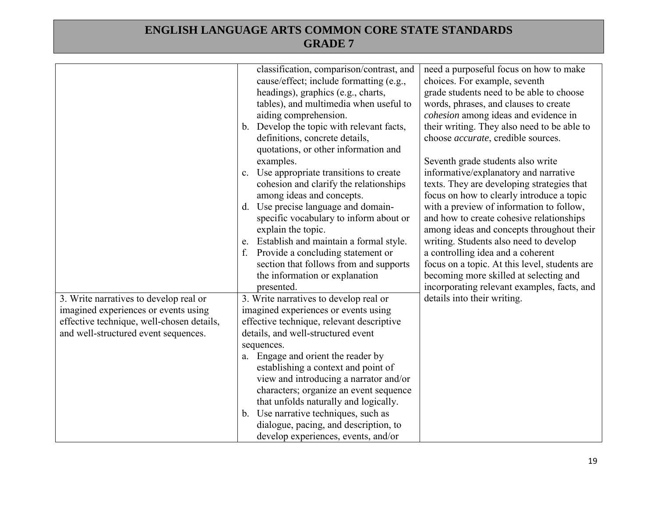|                                           | classification, comparison/contrast, and<br>cause/effect; include formatting (e.g.,<br>headings), graphics (e.g., charts,<br>tables), and multimedia when useful to<br>aiding comprehension.<br>b. Develop the topic with relevant facts,<br>definitions, concrete details,<br>quotations, or other information and<br>examples.<br>Use appropriate transitions to create<br>c.<br>cohesion and clarify the relationships<br>among ideas and concepts.<br>Use precise language and domain-<br>$d_{\cdot}$<br>specific vocabulary to inform about or<br>explain the topic.<br>Establish and maintain a formal style.<br>$e_{\cdot}$<br>Provide a concluding statement or<br>f.<br>section that follows from and supports<br>the information or explanation<br>presented. | need a purposeful focus on how to make<br>choices. For example, seventh<br>grade students need to be able to choose<br>words, phrases, and clauses to create<br>cohesion among ideas and evidence in<br>their writing. They also need to be able to<br>choose <i>accurate</i> , credible sources.<br>Seventh grade students also write<br>informative/explanatory and narrative<br>texts. They are developing strategies that<br>focus on how to clearly introduce a topic<br>with a preview of information to follow,<br>and how to create cohesive relationships<br>among ideas and concepts throughout their<br>writing. Students also need to develop<br>a controlling idea and a coherent<br>focus on a topic. At this level, students are<br>becoming more skilled at selecting and<br>incorporating relevant examples, facts, and |
|-------------------------------------------|-------------------------------------------------------------------------------------------------------------------------------------------------------------------------------------------------------------------------------------------------------------------------------------------------------------------------------------------------------------------------------------------------------------------------------------------------------------------------------------------------------------------------------------------------------------------------------------------------------------------------------------------------------------------------------------------------------------------------------------------------------------------------|------------------------------------------------------------------------------------------------------------------------------------------------------------------------------------------------------------------------------------------------------------------------------------------------------------------------------------------------------------------------------------------------------------------------------------------------------------------------------------------------------------------------------------------------------------------------------------------------------------------------------------------------------------------------------------------------------------------------------------------------------------------------------------------------------------------------------------------|
| 3. Write narratives to develop real or    | 3. Write narratives to develop real or                                                                                                                                                                                                                                                                                                                                                                                                                                                                                                                                                                                                                                                                                                                                  | details into their writing.                                                                                                                                                                                                                                                                                                                                                                                                                                                                                                                                                                                                                                                                                                                                                                                                              |
| imagined experiences or events using      | imagined experiences or events using                                                                                                                                                                                                                                                                                                                                                                                                                                                                                                                                                                                                                                                                                                                                    |                                                                                                                                                                                                                                                                                                                                                                                                                                                                                                                                                                                                                                                                                                                                                                                                                                          |
| effective technique, well-chosen details, | effective technique, relevant descriptive                                                                                                                                                                                                                                                                                                                                                                                                                                                                                                                                                                                                                                                                                                                               |                                                                                                                                                                                                                                                                                                                                                                                                                                                                                                                                                                                                                                                                                                                                                                                                                                          |
| and well-structured event sequences.      | details, and well-structured event                                                                                                                                                                                                                                                                                                                                                                                                                                                                                                                                                                                                                                                                                                                                      |                                                                                                                                                                                                                                                                                                                                                                                                                                                                                                                                                                                                                                                                                                                                                                                                                                          |
|                                           | sequences.                                                                                                                                                                                                                                                                                                                                                                                                                                                                                                                                                                                                                                                                                                                                                              |                                                                                                                                                                                                                                                                                                                                                                                                                                                                                                                                                                                                                                                                                                                                                                                                                                          |
|                                           | a. Engage and orient the reader by<br>establishing a context and point of                                                                                                                                                                                                                                                                                                                                                                                                                                                                                                                                                                                                                                                                                               |                                                                                                                                                                                                                                                                                                                                                                                                                                                                                                                                                                                                                                                                                                                                                                                                                                          |
|                                           | view and introducing a narrator and/or                                                                                                                                                                                                                                                                                                                                                                                                                                                                                                                                                                                                                                                                                                                                  |                                                                                                                                                                                                                                                                                                                                                                                                                                                                                                                                                                                                                                                                                                                                                                                                                                          |
|                                           | characters; organize an event sequence                                                                                                                                                                                                                                                                                                                                                                                                                                                                                                                                                                                                                                                                                                                                  |                                                                                                                                                                                                                                                                                                                                                                                                                                                                                                                                                                                                                                                                                                                                                                                                                                          |
|                                           | that unfolds naturally and logically.                                                                                                                                                                                                                                                                                                                                                                                                                                                                                                                                                                                                                                                                                                                                   |                                                                                                                                                                                                                                                                                                                                                                                                                                                                                                                                                                                                                                                                                                                                                                                                                                          |
|                                           | b. Use narrative techniques, such as                                                                                                                                                                                                                                                                                                                                                                                                                                                                                                                                                                                                                                                                                                                                    |                                                                                                                                                                                                                                                                                                                                                                                                                                                                                                                                                                                                                                                                                                                                                                                                                                          |
|                                           | dialogue, pacing, and description, to                                                                                                                                                                                                                                                                                                                                                                                                                                                                                                                                                                                                                                                                                                                                   |                                                                                                                                                                                                                                                                                                                                                                                                                                                                                                                                                                                                                                                                                                                                                                                                                                          |
|                                           | develop experiences, events, and/or                                                                                                                                                                                                                                                                                                                                                                                                                                                                                                                                                                                                                                                                                                                                     |                                                                                                                                                                                                                                                                                                                                                                                                                                                                                                                                                                                                                                                                                                                                                                                                                                          |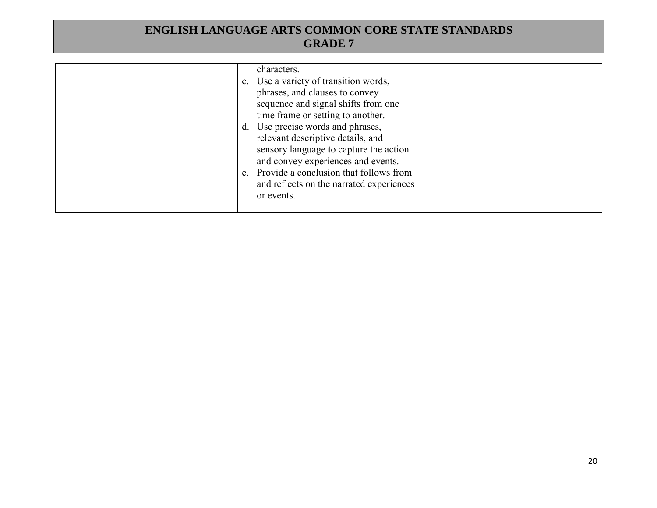|  | characters.<br>c. Use a variety of transition words,<br>phrases, and clauses to convey<br>sequence and signal shifts from one<br>time frame or setting to another.<br>d. Use precise words and phrases,<br>relevant descriptive details, and<br>sensory language to capture the action<br>and convey experiences and events.<br>e. Provide a conclusion that follows from<br>and reflects on the narrated experiences<br>or events. |  |
|--|-------------------------------------------------------------------------------------------------------------------------------------------------------------------------------------------------------------------------------------------------------------------------------------------------------------------------------------------------------------------------------------------------------------------------------------|--|
|  |                                                                                                                                                                                                                                                                                                                                                                                                                                     |  |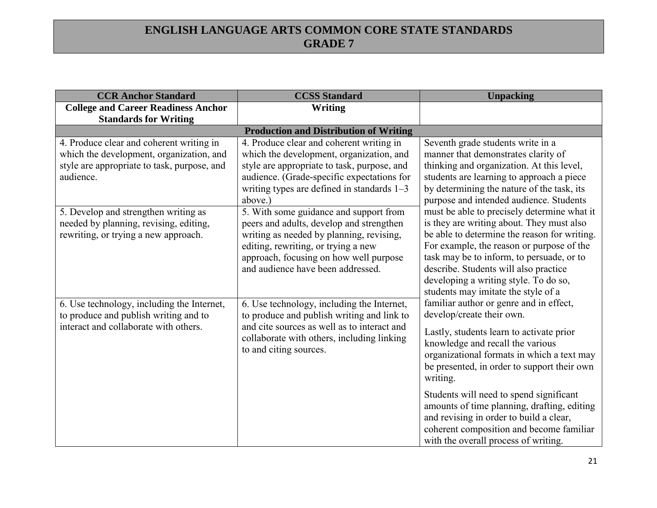| <b>CCR Anchor Standard</b>                                                                                                                       | <b>CCSS Standard</b>                                                                                                                                                                                                                                 | <b>Unpacking</b>                                                                                                                                                                                                                                                                                                                                            |
|--------------------------------------------------------------------------------------------------------------------------------------------------|------------------------------------------------------------------------------------------------------------------------------------------------------------------------------------------------------------------------------------------------------|-------------------------------------------------------------------------------------------------------------------------------------------------------------------------------------------------------------------------------------------------------------------------------------------------------------------------------------------------------------|
| <b>College and Career Readiness Anchor</b><br><b>Standards for Writing</b>                                                                       | Writing                                                                                                                                                                                                                                              |                                                                                                                                                                                                                                                                                                                                                             |
|                                                                                                                                                  | <b>Production and Distribution of Writing</b>                                                                                                                                                                                                        |                                                                                                                                                                                                                                                                                                                                                             |
| 4. Produce clear and coherent writing in<br>which the development, organization, and<br>style are appropriate to task, purpose, and<br>audience. | 4. Produce clear and coherent writing in<br>which the development, organization, and<br>style are appropriate to task, purpose, and<br>audience. (Grade-specific expectations for<br>writing types are defined in standards $1-3$<br>above.)         | Seventh grade students write in a<br>manner that demonstrates clarity of<br>thinking and organization. At this level,<br>students are learning to approach a piece<br>by determining the nature of the task, its<br>purpose and intended audience. Students                                                                                                 |
| 5. Develop and strengthen writing as<br>needed by planning, revising, editing,<br>rewriting, or trying a new approach.                           | 5. With some guidance and support from<br>peers and adults, develop and strengthen<br>writing as needed by planning, revising,<br>editing, rewriting, or trying a new<br>approach, focusing on how well purpose<br>and audience have been addressed. | must be able to precisely determine what it<br>is they are writing about. They must also<br>be able to determine the reason for writing.<br>For example, the reason or purpose of the<br>task may be to inform, to persuade, or to<br>describe. Students will also practice<br>developing a writing style. To do so,<br>students may imitate the style of a |
| 6. Use technology, including the Internet,<br>to produce and publish writing and to<br>interact and collaborate with others.                     | 6. Use technology, including the Internet,<br>to produce and publish writing and link to<br>and cite sources as well as to interact and<br>collaborate with others, including linking<br>to and citing sources.                                      | familiar author or genre and in effect,<br>develop/create their own.<br>Lastly, students learn to activate prior<br>knowledge and recall the various<br>organizational formats in which a text may<br>be presented, in order to support their own<br>writing.                                                                                               |
|                                                                                                                                                  |                                                                                                                                                                                                                                                      | Students will need to spend significant<br>amounts of time planning, drafting, editing<br>and revising in order to build a clear,<br>coherent composition and become familiar<br>with the overall process of writing.                                                                                                                                       |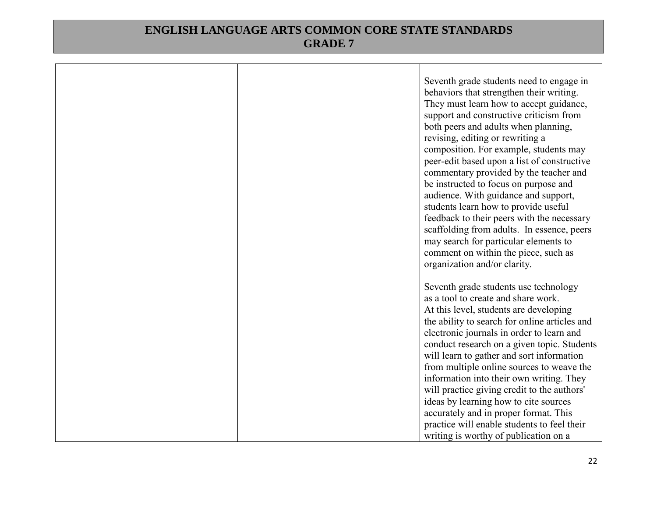|  | Seventh grade students need to engage in<br>behaviors that strengthen their writing.<br>They must learn how to accept guidance,<br>support and constructive criticism from<br>both peers and adults when planning,<br>revising, editing or rewriting a<br>composition. For example, students may<br>peer-edit based upon a list of constructive<br>commentary provided by the teacher and<br>be instructed to focus on purpose and<br>audience. With guidance and support,<br>students learn how to provide useful<br>feedback to their peers with the necessary<br>scaffolding from adults. In essence, peers<br>may search for particular elements to<br>comment on within the piece, such as<br>organization and/or clarity. |
|--|---------------------------------------------------------------------------------------------------------------------------------------------------------------------------------------------------------------------------------------------------------------------------------------------------------------------------------------------------------------------------------------------------------------------------------------------------------------------------------------------------------------------------------------------------------------------------------------------------------------------------------------------------------------------------------------------------------------------------------|
|  | Seventh grade students use technology<br>as a tool to create and share work.<br>At this level, students are developing<br>the ability to search for online articles and<br>electronic journals in order to learn and<br>conduct research on a given topic. Students<br>will learn to gather and sort information<br>from multiple online sources to weave the<br>information into their own writing. They<br>will practice giving credit to the authors'<br>ideas by learning how to cite sources<br>accurately and in proper format. This<br>practice will enable students to feel their<br>writing is worthy of publication on a                                                                                              |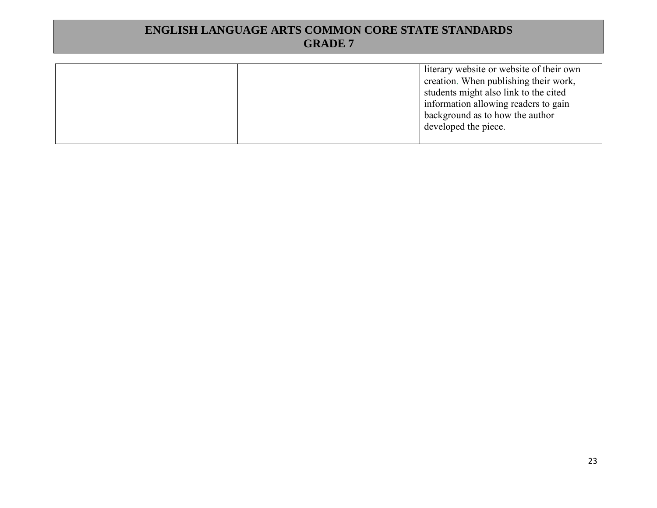| literary website or website of their own |
|------------------------------------------|
| creation. When publishing their work,    |
| students might also link to the cited    |
| information allowing readers to gain     |
| background as to how the author          |
|                                          |
|                                          |
|                                          |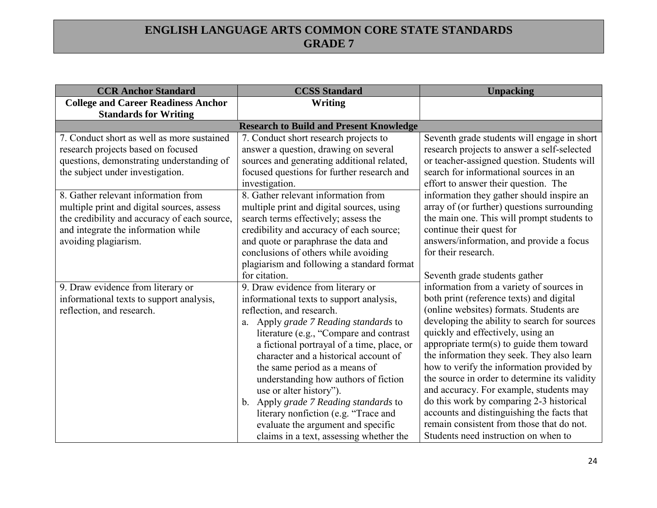| <b>CCR Anchor Standard</b>                                                                                                                                                                       | <b>CCSS Standard</b>                                                                                                                                                                                                                                                                                                                                                                                                                                                                                                                                                | <b>Unpacking</b>                                                                                                                                                                                                                                                                                                                                                                                                                                                                                                                                                                                                                       |
|--------------------------------------------------------------------------------------------------------------------------------------------------------------------------------------------------|---------------------------------------------------------------------------------------------------------------------------------------------------------------------------------------------------------------------------------------------------------------------------------------------------------------------------------------------------------------------------------------------------------------------------------------------------------------------------------------------------------------------------------------------------------------------|----------------------------------------------------------------------------------------------------------------------------------------------------------------------------------------------------------------------------------------------------------------------------------------------------------------------------------------------------------------------------------------------------------------------------------------------------------------------------------------------------------------------------------------------------------------------------------------------------------------------------------------|
| <b>College and Career Readiness Anchor</b><br><b>Standards for Writing</b>                                                                                                                       | <b>Writing</b>                                                                                                                                                                                                                                                                                                                                                                                                                                                                                                                                                      |                                                                                                                                                                                                                                                                                                                                                                                                                                                                                                                                                                                                                                        |
|                                                                                                                                                                                                  | <b>Research to Build and Present Knowledge</b>                                                                                                                                                                                                                                                                                                                                                                                                                                                                                                                      |                                                                                                                                                                                                                                                                                                                                                                                                                                                                                                                                                                                                                                        |
| 7. Conduct short as well as more sustained<br>research projects based on focused<br>questions, demonstrating understanding of<br>the subject under investigation.                                | 7. Conduct short research projects to<br>answer a question, drawing on several<br>sources and generating additional related,<br>focused questions for further research and<br>investigation.                                                                                                                                                                                                                                                                                                                                                                        | Seventh grade students will engage in short<br>research projects to answer a self-selected<br>or teacher-assigned question. Students will<br>search for informational sources in an<br>effort to answer their question. The                                                                                                                                                                                                                                                                                                                                                                                                            |
| 8. Gather relevant information from<br>multiple print and digital sources, assess<br>the credibility and accuracy of each source,<br>and integrate the information while<br>avoiding plagiarism. | 8. Gather relevant information from<br>multiple print and digital sources, using<br>search terms effectively; assess the<br>credibility and accuracy of each source;<br>and quote or paraphrase the data and<br>conclusions of others while avoiding<br>plagiarism and following a standard format                                                                                                                                                                                                                                                                  | information they gather should inspire an<br>array of (or further) questions surrounding<br>the main one. This will prompt students to<br>continue their quest for<br>answers/information, and provide a focus<br>for their research.                                                                                                                                                                                                                                                                                                                                                                                                  |
|                                                                                                                                                                                                  | for citation.                                                                                                                                                                                                                                                                                                                                                                                                                                                                                                                                                       | Seventh grade students gather                                                                                                                                                                                                                                                                                                                                                                                                                                                                                                                                                                                                          |
| 9. Draw evidence from literary or<br>informational texts to support analysis,<br>reflection, and research.                                                                                       | 9. Draw evidence from literary or<br>informational texts to support analysis,<br>reflection, and research.<br>a. Apply grade 7 Reading standards to<br>literature (e.g., "Compare and contrast<br>a fictional portrayal of a time, place, or<br>character and a historical account of<br>the same period as a means of<br>understanding how authors of fiction<br>use or alter history").<br>Apply grade 7 Reading standards to<br>$b_{-}$<br>literary nonfiction (e.g. "Trace and<br>evaluate the argument and specific<br>claims in a text, assessing whether the | information from a variety of sources in<br>both print (reference texts) and digital<br>(online websites) formats. Students are<br>developing the ability to search for sources<br>quickly and effectively, using an<br>appropriate term(s) to guide them toward<br>the information they seek. They also learn<br>how to verify the information provided by<br>the source in order to determine its validity<br>and accuracy. For example, students may<br>do this work by comparing 2-3 historical<br>accounts and distinguishing the facts that<br>remain consistent from those that do not.<br>Students need instruction on when to |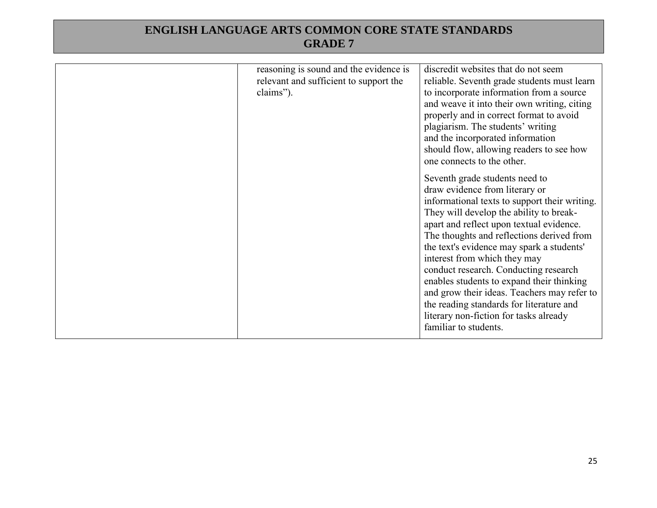| reasoning is sound and the evidence is<br>relevant and sufficient to support the<br>claims"). | discredit websites that do not seem<br>reliable. Seventh grade students must learn<br>to incorporate information from a source<br>and weave it into their own writing, citing<br>properly and in correct format to avoid<br>plagiarism. The students' writing<br>and the incorporated information<br>should flow, allowing readers to see how<br>one connects to the other.<br>Seventh grade students need to<br>draw evidence from literary or<br>informational texts to support their writing.<br>They will develop the ability to break-<br>apart and reflect upon textual evidence.<br>The thoughts and reflections derived from<br>the text's evidence may spark a students'<br>interest from which they may<br>conduct research. Conducting research<br>enables students to expand their thinking<br>and grow their ideas. Teachers may refer to<br>the reading standards for literature and<br>literary non-fiction for tasks already<br>familiar to students. |
|-----------------------------------------------------------------------------------------------|-----------------------------------------------------------------------------------------------------------------------------------------------------------------------------------------------------------------------------------------------------------------------------------------------------------------------------------------------------------------------------------------------------------------------------------------------------------------------------------------------------------------------------------------------------------------------------------------------------------------------------------------------------------------------------------------------------------------------------------------------------------------------------------------------------------------------------------------------------------------------------------------------------------------------------------------------------------------------|
|                                                                                               |                                                                                                                                                                                                                                                                                                                                                                                                                                                                                                                                                                                                                                                                                                                                                                                                                                                                                                                                                                       |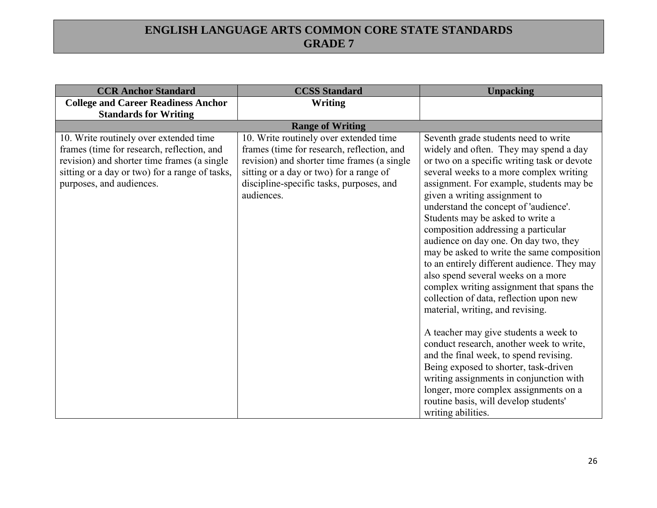| <b>CCR Anchor Standard</b>                                                                                                                                                                                        | <b>CCSS Standard</b>                                                                                                                                                                                                                     | <b>Unpacking</b>                                                                                                                                                                                                                                                                                                                                                                                                                                                                                                                                                                                                                                                                                                                                                                                                                                                                                                                                                                                             |
|-------------------------------------------------------------------------------------------------------------------------------------------------------------------------------------------------------------------|------------------------------------------------------------------------------------------------------------------------------------------------------------------------------------------------------------------------------------------|--------------------------------------------------------------------------------------------------------------------------------------------------------------------------------------------------------------------------------------------------------------------------------------------------------------------------------------------------------------------------------------------------------------------------------------------------------------------------------------------------------------------------------------------------------------------------------------------------------------------------------------------------------------------------------------------------------------------------------------------------------------------------------------------------------------------------------------------------------------------------------------------------------------------------------------------------------------------------------------------------------------|
| <b>College and Career Readiness Anchor</b><br><b>Standards for Writing</b>                                                                                                                                        | <b>Writing</b>                                                                                                                                                                                                                           |                                                                                                                                                                                                                                                                                                                                                                                                                                                                                                                                                                                                                                                                                                                                                                                                                                                                                                                                                                                                              |
|                                                                                                                                                                                                                   | <b>Range of Writing</b>                                                                                                                                                                                                                  |                                                                                                                                                                                                                                                                                                                                                                                                                                                                                                                                                                                                                                                                                                                                                                                                                                                                                                                                                                                                              |
| 10. Write routinely over extended time<br>frames (time for research, reflection, and<br>revision) and shorter time frames (a single<br>sitting or a day or two) for a range of tasks,<br>purposes, and audiences. | 10. Write routinely over extended time<br>frames (time for research, reflection, and<br>revision) and shorter time frames (a single<br>sitting or a day or two) for a range of<br>discipline-specific tasks, purposes, and<br>audiences. | Seventh grade students need to write<br>widely and often. They may spend a day<br>or two on a specific writing task or devote<br>several weeks to a more complex writing<br>assignment. For example, students may be<br>given a writing assignment to<br>understand the concept of 'audience'.<br>Students may be asked to write a<br>composition addressing a particular<br>audience on day one. On day two, they<br>may be asked to write the same composition<br>to an entirely different audience. They may<br>also spend several weeks on a more<br>complex writing assignment that spans the<br>collection of data, reflection upon new<br>material, writing, and revising.<br>A teacher may give students a week to<br>conduct research, another week to write,<br>and the final week, to spend revising.<br>Being exposed to shorter, task-driven<br>writing assignments in conjunction with<br>longer, more complex assignments on a<br>routine basis, will develop students'<br>writing abilities. |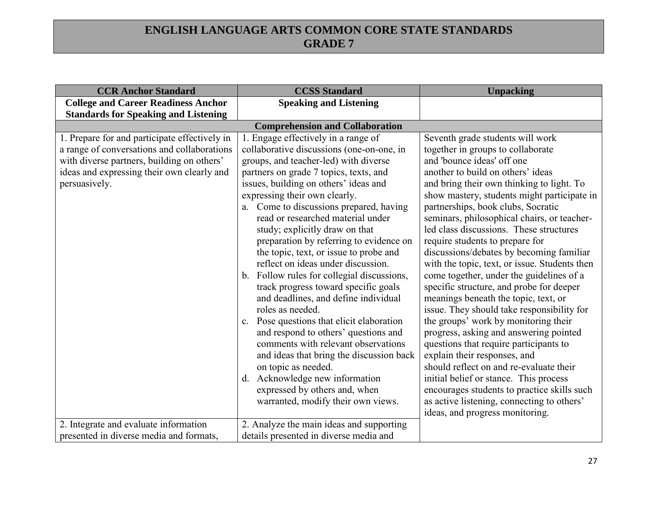| <b>CCR Anchor Standard</b>                                                                                                                                                                                | <b>CCSS Standard</b>                                                                                                                                                                                                                                                                                                                                                                                                                                                                                                                                                                                                                                                                                                                                                                                                                                                                                                                                 | <b>Unpacking</b>                                                                                                                                                                                                                                                                                                                                                                                                                                                                                                                                                                                                                                                                                                                                                                                                                                                                                                                                                                                                                                                    |
|-----------------------------------------------------------------------------------------------------------------------------------------------------------------------------------------------------------|------------------------------------------------------------------------------------------------------------------------------------------------------------------------------------------------------------------------------------------------------------------------------------------------------------------------------------------------------------------------------------------------------------------------------------------------------------------------------------------------------------------------------------------------------------------------------------------------------------------------------------------------------------------------------------------------------------------------------------------------------------------------------------------------------------------------------------------------------------------------------------------------------------------------------------------------------|---------------------------------------------------------------------------------------------------------------------------------------------------------------------------------------------------------------------------------------------------------------------------------------------------------------------------------------------------------------------------------------------------------------------------------------------------------------------------------------------------------------------------------------------------------------------------------------------------------------------------------------------------------------------------------------------------------------------------------------------------------------------------------------------------------------------------------------------------------------------------------------------------------------------------------------------------------------------------------------------------------------------------------------------------------------------|
| <b>College and Career Readiness Anchor</b>                                                                                                                                                                | <b>Speaking and Listening</b>                                                                                                                                                                                                                                                                                                                                                                                                                                                                                                                                                                                                                                                                                                                                                                                                                                                                                                                        |                                                                                                                                                                                                                                                                                                                                                                                                                                                                                                                                                                                                                                                                                                                                                                                                                                                                                                                                                                                                                                                                     |
| <b>Standards for Speaking and Listening</b>                                                                                                                                                               |                                                                                                                                                                                                                                                                                                                                                                                                                                                                                                                                                                                                                                                                                                                                                                                                                                                                                                                                                      |                                                                                                                                                                                                                                                                                                                                                                                                                                                                                                                                                                                                                                                                                                                                                                                                                                                                                                                                                                                                                                                                     |
|                                                                                                                                                                                                           | <b>Comprehension and Collaboration</b>                                                                                                                                                                                                                                                                                                                                                                                                                                                                                                                                                                                                                                                                                                                                                                                                                                                                                                               |                                                                                                                                                                                                                                                                                                                                                                                                                                                                                                                                                                                                                                                                                                                                                                                                                                                                                                                                                                                                                                                                     |
| 1. Prepare for and participate effectively in<br>a range of conversations and collaborations<br>with diverse partners, building on others'<br>ideas and expressing their own clearly and<br>persuasively. | 1. Engage effectively in a range of<br>collaborative discussions (one-on-one, in<br>groups, and teacher-led) with diverse<br>partners on grade 7 topics, texts, and<br>issues, building on others' ideas and<br>expressing their own clearly.<br>a. Come to discussions prepared, having<br>read or researched material under<br>study; explicitly draw on that<br>preparation by referring to evidence on<br>the topic, text, or issue to probe and<br>reflect on ideas under discussion.<br>b. Follow rules for collegial discussions,<br>track progress toward specific goals<br>and deadlines, and define individual<br>roles as needed.<br>c. Pose questions that elicit elaboration<br>and respond to others' questions and<br>comments with relevant observations<br>and ideas that bring the discussion back<br>on topic as needed.<br>d. Acknowledge new information<br>expressed by others and, when<br>warranted, modify their own views. | Seventh grade students will work<br>together in groups to collaborate<br>and 'bounce ideas' off one<br>another to build on others' ideas<br>and bring their own thinking to light. To<br>show mastery, students might participate in<br>partnerships, book clubs, Socratic<br>seminars, philosophical chairs, or teacher-<br>led class discussions. These structures<br>require students to prepare for<br>discussions/debates by becoming familiar<br>with the topic, text, or issue. Students then<br>come together, under the guidelines of a<br>specific structure, and probe for deeper<br>meanings beneath the topic, text, or<br>issue. They should take responsibility for<br>the groups' work by monitoring their<br>progress, asking and answering pointed<br>questions that require participants to<br>explain their responses, and<br>should reflect on and re-evaluate their<br>initial belief or stance. This process<br>encourages students to practice skills such<br>as active listening, connecting to others'<br>ideas, and progress monitoring. |
| 2. Integrate and evaluate information                                                                                                                                                                     | 2. Analyze the main ideas and supporting                                                                                                                                                                                                                                                                                                                                                                                                                                                                                                                                                                                                                                                                                                                                                                                                                                                                                                             |                                                                                                                                                                                                                                                                                                                                                                                                                                                                                                                                                                                                                                                                                                                                                                                                                                                                                                                                                                                                                                                                     |
| presented in diverse media and formats,                                                                                                                                                                   | details presented in diverse media and                                                                                                                                                                                                                                                                                                                                                                                                                                                                                                                                                                                                                                                                                                                                                                                                                                                                                                               |                                                                                                                                                                                                                                                                                                                                                                                                                                                                                                                                                                                                                                                                                                                                                                                                                                                                                                                                                                                                                                                                     |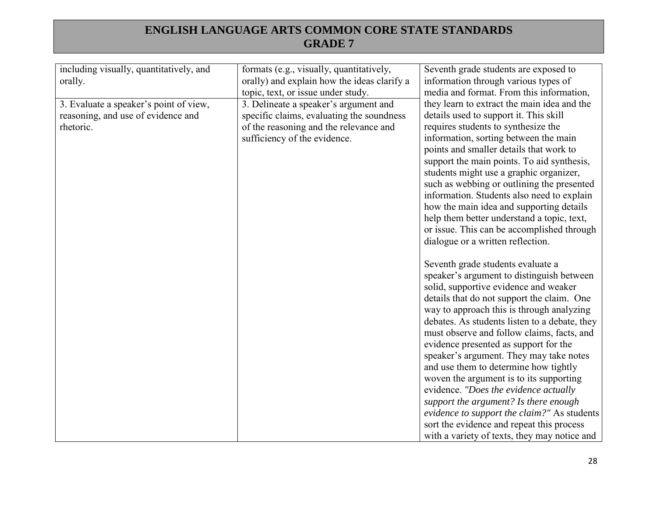| including visually, quantitatively, and<br>orally.                                        | formats (e.g., visually, quantitatively,<br>orally) and explain how the ideas clarify a<br>topic, text, or issue under study.                                | Seventh grade students are exposed to<br>information through various types of<br>media and format. From this information,                                                                                                                                                                                                                                                                                                                                                                                                                                                                                                                                                                                               |
|-------------------------------------------------------------------------------------------|--------------------------------------------------------------------------------------------------------------------------------------------------------------|-------------------------------------------------------------------------------------------------------------------------------------------------------------------------------------------------------------------------------------------------------------------------------------------------------------------------------------------------------------------------------------------------------------------------------------------------------------------------------------------------------------------------------------------------------------------------------------------------------------------------------------------------------------------------------------------------------------------------|
| 3. Evaluate a speaker's point of view,<br>reasoning, and use of evidence and<br>rhetoric. | 3. Delineate a speaker's argument and<br>specific claims, evaluating the soundness<br>of the reasoning and the relevance and<br>sufficiency of the evidence. | they learn to extract the main idea and the<br>details used to support it. This skill<br>requires students to synthesize the<br>information, sorting between the main<br>points and smaller details that work to<br>support the main points. To aid synthesis,<br>students might use a graphic organizer,<br>such as webbing or outlining the presented<br>information. Students also need to explain<br>how the main idea and supporting details<br>help them better understand a topic, text,<br>or issue. This can be accomplished through<br>dialogue or a written reflection.                                                                                                                                      |
|                                                                                           |                                                                                                                                                              | Seventh grade students evaluate a<br>speaker's argument to distinguish between<br>solid, supportive evidence and weaker<br>details that do not support the claim. One<br>way to approach this is through analyzing<br>debates. As students listen to a debate, they<br>must observe and follow claims, facts, and<br>evidence presented as support for the<br>speaker's argument. They may take notes<br>and use them to determine how tightly<br>woven the argument is to its supporting<br>evidence. "Does the evidence actually<br>support the argument? Is there enough<br>evidence to support the claim?" As students<br>sort the evidence and repeat this process<br>with a variety of texts, they may notice and |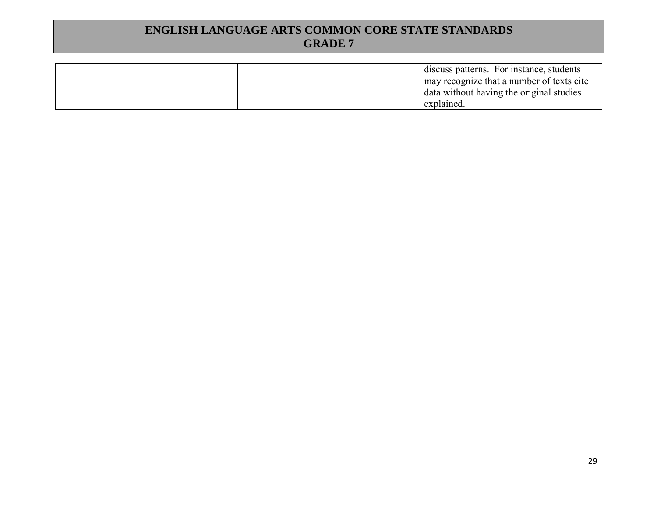| discuss patterns. For instance, students  |
|-------------------------------------------|
| may recognize that a number of texts cite |
| data without having the original studies  |
| explained.                                |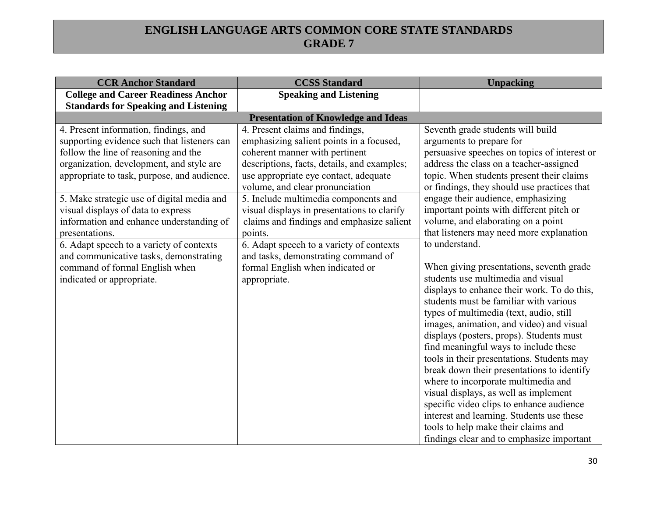| <b>CCR Anchor Standard</b>                  | <b>CCSS Standard</b>                                                          | <b>Unpacking</b>                                                                      |
|---------------------------------------------|-------------------------------------------------------------------------------|---------------------------------------------------------------------------------------|
| <b>College and Career Readiness Anchor</b>  | <b>Speaking and Listening</b>                                                 |                                                                                       |
| <b>Standards for Speaking and Listening</b> |                                                                               |                                                                                       |
| 4. Present information, findings, and       | <b>Presentation of Knowledge and Ideas</b><br>4. Present claims and findings, | Seventh grade students will build                                                     |
| supporting evidence such that listeners can | emphasizing salient points in a focused,                                      | arguments to prepare for                                                              |
| follow the line of reasoning and the        | coherent manner with pertinent                                                | persuasive speeches on topics of interest or                                          |
| organization, development, and style are    | descriptions, facts, details, and examples;                                   | address the class on a teacher-assigned                                               |
| appropriate to task, purpose, and audience. | use appropriate eye contact, adequate                                         | topic. When students present their claims                                             |
|                                             | volume, and clear pronunciation                                               | or findings, they should use practices that                                           |
| 5. Make strategic use of digital media and  | 5. Include multimedia components and                                          | engage their audience, emphasizing                                                    |
| visual displays of data to express          | visual displays in presentations to clarify                                   | important points with different pitch or                                              |
| information and enhance understanding of    | claims and findings and emphasize salient                                     | volume, and elaborating on a point                                                    |
| presentations.                              | points.                                                                       | that listeners may need more explanation                                              |
| 6. Adapt speech to a variety of contexts    | 6. Adapt speech to a variety of contexts                                      | to understand.                                                                        |
| and communicative tasks, demonstrating      | and tasks, demonstrating command of                                           |                                                                                       |
| command of formal English when              | formal English when indicated or                                              | When giving presentations, seventh grade<br>students use multimedia and visual        |
| indicated or appropriate.                   | appropriate.                                                                  |                                                                                       |
|                                             |                                                                               | displays to enhance their work. To do this,<br>students must be familiar with various |
|                                             |                                                                               | types of multimedia (text, audio, still                                               |
|                                             |                                                                               | images, animation, and video) and visual                                              |
|                                             |                                                                               | displays (posters, props). Students must                                              |
|                                             |                                                                               | find meaningful ways to include these                                                 |
|                                             |                                                                               | tools in their presentations. Students may                                            |
|                                             |                                                                               | break down their presentations to identify                                            |
|                                             |                                                                               | where to incorporate multimedia and                                                   |
|                                             |                                                                               | visual displays, as well as implement                                                 |
|                                             |                                                                               | specific video clips to enhance audience                                              |
|                                             |                                                                               | interest and learning. Students use these                                             |
|                                             |                                                                               | tools to help make their claims and                                                   |
|                                             |                                                                               | findings clear and to emphasize important                                             |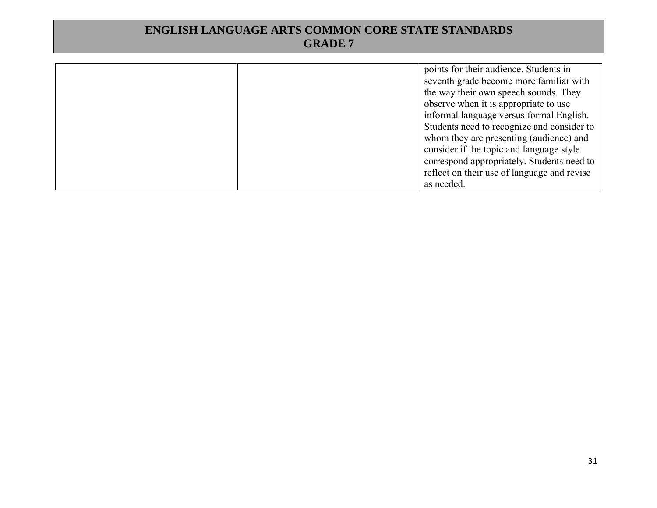| points for their audience. Students in      |
|---------------------------------------------|
| seventh grade become more familiar with     |
| the way their own speech sounds. They       |
| observe when it is appropriate to use       |
| informal language versus formal English.    |
| Students need to recognize and consider to  |
| whom they are presenting (audience) and     |
| consider if the topic and language style    |
| correspond appropriately. Students need to  |
| reflect on their use of language and revise |
| as needed.                                  |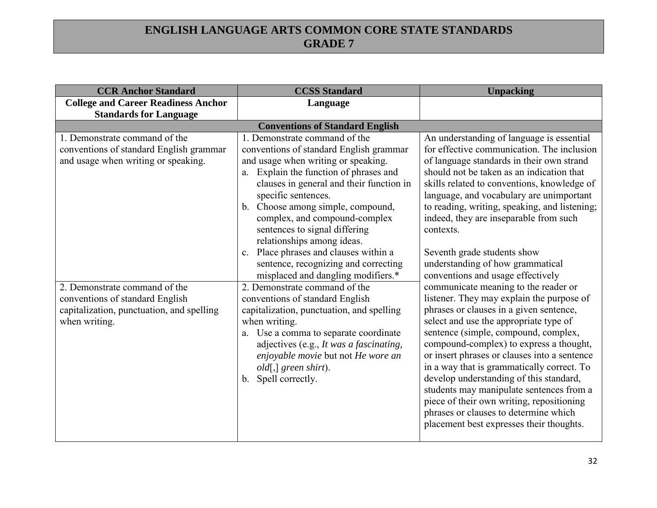| <b>CCR Anchor Standard</b>                                                                                                                                                                                                                        | <b>CCSS Standard</b>                                                                                                                                                                                                                                                                                                                                                                                                                                                                                                                                                                                                                                                                                                                                                                                   | <b>Unpacking</b>                                                                                                                                                                                                                                                                                                                                                                                                                                                                                                                                                                                                                                                                                                                                                                                                                                                                                                                               |
|---------------------------------------------------------------------------------------------------------------------------------------------------------------------------------------------------------------------------------------------------|--------------------------------------------------------------------------------------------------------------------------------------------------------------------------------------------------------------------------------------------------------------------------------------------------------------------------------------------------------------------------------------------------------------------------------------------------------------------------------------------------------------------------------------------------------------------------------------------------------------------------------------------------------------------------------------------------------------------------------------------------------------------------------------------------------|------------------------------------------------------------------------------------------------------------------------------------------------------------------------------------------------------------------------------------------------------------------------------------------------------------------------------------------------------------------------------------------------------------------------------------------------------------------------------------------------------------------------------------------------------------------------------------------------------------------------------------------------------------------------------------------------------------------------------------------------------------------------------------------------------------------------------------------------------------------------------------------------------------------------------------------------|
| <b>College and Career Readiness Anchor</b>                                                                                                                                                                                                        | Language                                                                                                                                                                                                                                                                                                                                                                                                                                                                                                                                                                                                                                                                                                                                                                                               |                                                                                                                                                                                                                                                                                                                                                                                                                                                                                                                                                                                                                                                                                                                                                                                                                                                                                                                                                |
| <b>Standards for Language</b>                                                                                                                                                                                                                     |                                                                                                                                                                                                                                                                                                                                                                                                                                                                                                                                                                                                                                                                                                                                                                                                        |                                                                                                                                                                                                                                                                                                                                                                                                                                                                                                                                                                                                                                                                                                                                                                                                                                                                                                                                                |
|                                                                                                                                                                                                                                                   | <b>Conventions of Standard English</b>                                                                                                                                                                                                                                                                                                                                                                                                                                                                                                                                                                                                                                                                                                                                                                 |                                                                                                                                                                                                                                                                                                                                                                                                                                                                                                                                                                                                                                                                                                                                                                                                                                                                                                                                                |
| 1. Demonstrate command of the<br>conventions of standard English grammar<br>and usage when writing or speaking.<br>2. Demonstrate command of the<br>conventions of standard English<br>capitalization, punctuation, and spelling<br>when writing. | 1. Demonstrate command of the<br>conventions of standard English grammar<br>and usage when writing or speaking.<br>Explain the function of phrases and<br>a.<br>clauses in general and their function in<br>specific sentences.<br>b. Choose among simple, compound,<br>complex, and compound-complex<br>sentences to signal differing<br>relationships among ideas.<br>c. Place phrases and clauses within a<br>sentence, recognizing and correcting<br>misplaced and dangling modifiers.*<br>2. Demonstrate command of the<br>conventions of standard English<br>capitalization, punctuation, and spelling<br>when writing.<br>a. Use a comma to separate coordinate<br>adjectives (e.g., It was a fascinating,<br>enjoyable movie but not He wore an<br>old[,] green shirt).<br>b. Spell correctly. | An understanding of language is essential<br>for effective communication. The inclusion<br>of language standards in their own strand<br>should not be taken as an indication that<br>skills related to conventions, knowledge of<br>language, and vocabulary are unimportant<br>to reading, writing, speaking, and listening;<br>indeed, they are inseparable from such<br>contexts.<br>Seventh grade students show<br>understanding of how grammatical<br>conventions and usage effectively<br>communicate meaning to the reader or<br>listener. They may explain the purpose of<br>phrases or clauses in a given sentence,<br>select and use the appropriate type of<br>sentence (simple, compound, complex,<br>compound-complex) to express a thought,<br>or insert phrases or clauses into a sentence<br>in a way that is grammatically correct. To<br>develop understanding of this standard,<br>students may manipulate sentences from a |
|                                                                                                                                                                                                                                                   |                                                                                                                                                                                                                                                                                                                                                                                                                                                                                                                                                                                                                                                                                                                                                                                                        | piece of their own writing, repositioning<br>phrases or clauses to determine which                                                                                                                                                                                                                                                                                                                                                                                                                                                                                                                                                                                                                                                                                                                                                                                                                                                             |
|                                                                                                                                                                                                                                                   |                                                                                                                                                                                                                                                                                                                                                                                                                                                                                                                                                                                                                                                                                                                                                                                                        | placement best expresses their thoughts.                                                                                                                                                                                                                                                                                                                                                                                                                                                                                                                                                                                                                                                                                                                                                                                                                                                                                                       |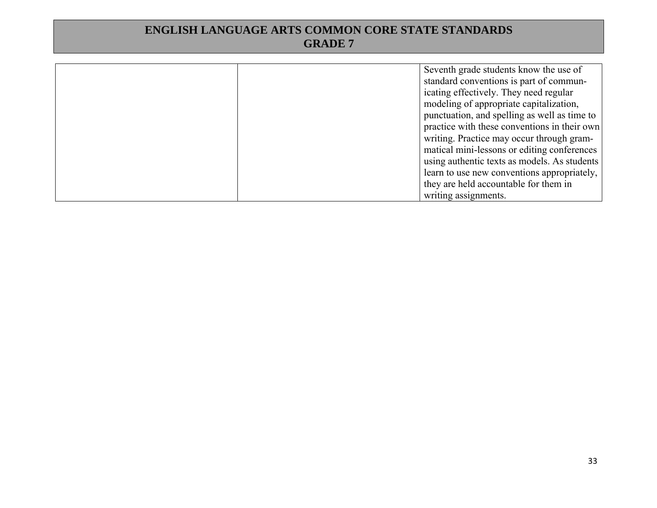| Seventh grade students know the use of       |
|----------------------------------------------|
| standard conventions is part of commun-      |
| icating effectively. They need regular       |
| modeling of appropriate capitalization,      |
| punctuation, and spelling as well as time to |
| practice with these conventions in their own |
| writing. Practice may occur through gram-    |
| matical mini-lessons or editing conferences  |
| using authentic texts as models. As students |
| learn to use new conventions appropriately,  |
| they are held accountable for them in        |
| writing assignments.                         |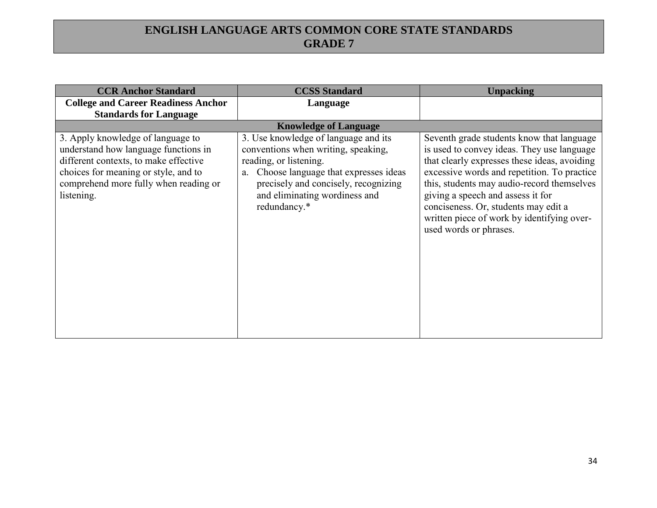| <b>CCR Anchor Standard</b>                                                                                                                                                                                        | <b>CCSS Standard</b>                                                                                                                                                                                                                         | <b>Unpacking</b>                                                                                                                                                                                                                                                                                                                                                                          |
|-------------------------------------------------------------------------------------------------------------------------------------------------------------------------------------------------------------------|----------------------------------------------------------------------------------------------------------------------------------------------------------------------------------------------------------------------------------------------|-------------------------------------------------------------------------------------------------------------------------------------------------------------------------------------------------------------------------------------------------------------------------------------------------------------------------------------------------------------------------------------------|
| <b>College and Career Readiness Anchor</b>                                                                                                                                                                        | Language                                                                                                                                                                                                                                     |                                                                                                                                                                                                                                                                                                                                                                                           |
| <b>Standards for Language</b>                                                                                                                                                                                     |                                                                                                                                                                                                                                              |                                                                                                                                                                                                                                                                                                                                                                                           |
|                                                                                                                                                                                                                   | <b>Knowledge of Language</b>                                                                                                                                                                                                                 |                                                                                                                                                                                                                                                                                                                                                                                           |
| 3. Apply knowledge of language to<br>understand how language functions in<br>different contexts, to make effective<br>choices for meaning or style, and to<br>comprehend more fully when reading or<br>listening. | 3. Use knowledge of language and its<br>conventions when writing, speaking,<br>reading, or listening.<br>Choose language that expresses ideas<br>a.<br>precisely and concisely, recognizing<br>and eliminating wordiness and<br>redundancy.* | Seventh grade students know that language<br>is used to convey ideas. They use language<br>that clearly expresses these ideas, avoiding<br>excessive words and repetition. To practice<br>this, students may audio-record themselves<br>giving a speech and assess it for<br>conciseness. Or, students may edit a<br>written piece of work by identifying over-<br>used words or phrases. |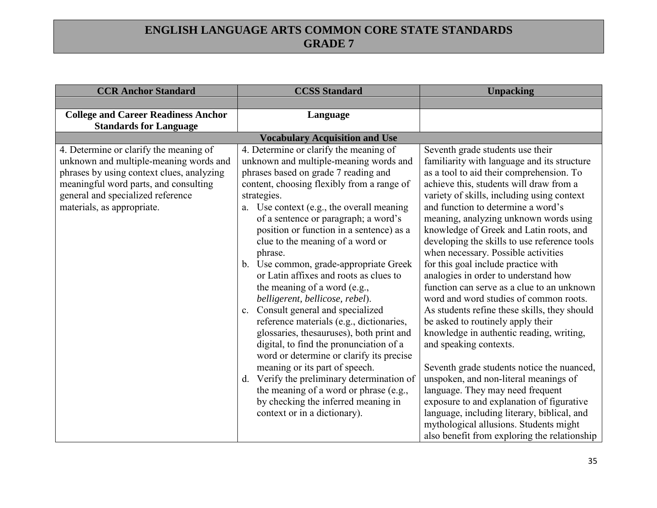| <b>CCR Anchor Standard</b>                                                                                                                                                                                                                | <b>CCSS Standard</b>                                                                                                                                                                                                                                                                                                                                                                                                                                                                                                                                                                                                                                                                                                                                                                                                                                                                                                                                                       | <b>Unpacking</b>                                                                                                                                                                                                                                                                                                                                                                                                                                                                                                                                                                                                                                                                                                                                                                                                                                                                                                                                                                                                                                                                          |
|-------------------------------------------------------------------------------------------------------------------------------------------------------------------------------------------------------------------------------------------|----------------------------------------------------------------------------------------------------------------------------------------------------------------------------------------------------------------------------------------------------------------------------------------------------------------------------------------------------------------------------------------------------------------------------------------------------------------------------------------------------------------------------------------------------------------------------------------------------------------------------------------------------------------------------------------------------------------------------------------------------------------------------------------------------------------------------------------------------------------------------------------------------------------------------------------------------------------------------|-------------------------------------------------------------------------------------------------------------------------------------------------------------------------------------------------------------------------------------------------------------------------------------------------------------------------------------------------------------------------------------------------------------------------------------------------------------------------------------------------------------------------------------------------------------------------------------------------------------------------------------------------------------------------------------------------------------------------------------------------------------------------------------------------------------------------------------------------------------------------------------------------------------------------------------------------------------------------------------------------------------------------------------------------------------------------------------------|
|                                                                                                                                                                                                                                           |                                                                                                                                                                                                                                                                                                                                                                                                                                                                                                                                                                                                                                                                                                                                                                                                                                                                                                                                                                            |                                                                                                                                                                                                                                                                                                                                                                                                                                                                                                                                                                                                                                                                                                                                                                                                                                                                                                                                                                                                                                                                                           |
| <b>College and Career Readiness Anchor</b><br><b>Standards for Language</b>                                                                                                                                                               | Language                                                                                                                                                                                                                                                                                                                                                                                                                                                                                                                                                                                                                                                                                                                                                                                                                                                                                                                                                                   |                                                                                                                                                                                                                                                                                                                                                                                                                                                                                                                                                                                                                                                                                                                                                                                                                                                                                                                                                                                                                                                                                           |
|                                                                                                                                                                                                                                           | <b>Vocabulary Acquisition and Use</b>                                                                                                                                                                                                                                                                                                                                                                                                                                                                                                                                                                                                                                                                                                                                                                                                                                                                                                                                      |                                                                                                                                                                                                                                                                                                                                                                                                                                                                                                                                                                                                                                                                                                                                                                                                                                                                                                                                                                                                                                                                                           |
| 4. Determine or clarify the meaning of<br>unknown and multiple-meaning words and<br>phrases by using context clues, analyzing<br>meaningful word parts, and consulting<br>general and specialized reference<br>materials, as appropriate. | 4. Determine or clarify the meaning of<br>unknown and multiple-meaning words and<br>phrases based on grade 7 reading and<br>content, choosing flexibly from a range of<br>strategies.<br>a. Use context (e.g., the overall meaning<br>of a sentence or paragraph; a word's<br>position or function in a sentence) as a<br>clue to the meaning of a word or<br>phrase.<br>b. Use common, grade-appropriate Greek<br>or Latin affixes and roots as clues to<br>the meaning of a word (e.g.,<br>belligerent, bellicose, rebel).<br>Consult general and specialized<br>$c_{\cdot}$<br>reference materials (e.g., dictionaries,<br>glossaries, thesauruses), both print and<br>digital, to find the pronunciation of a<br>word or determine or clarify its precise<br>meaning or its part of speech.<br>Verify the preliminary determination of<br>$d_{\cdot}$<br>the meaning of a word or phrase (e.g.,<br>by checking the inferred meaning in<br>context or in a dictionary). | Seventh grade students use their<br>familiarity with language and its structure<br>as a tool to aid their comprehension. To<br>achieve this, students will draw from a<br>variety of skills, including using context<br>and function to determine a word's<br>meaning, analyzing unknown words using<br>knowledge of Greek and Latin roots, and<br>developing the skills to use reference tools<br>when necessary. Possible activities<br>for this goal include practice with<br>analogies in order to understand how<br>function can serve as a clue to an unknown<br>word and word studies of common roots.<br>As students refine these skills, they should<br>be asked to routinely apply their<br>knowledge in authentic reading, writing,<br>and speaking contexts.<br>Seventh grade students notice the nuanced,<br>unspoken, and non-literal meanings of<br>language. They may need frequent<br>exposure to and explanation of figurative<br>language, including literary, biblical, and<br>mythological allusions. Students might<br>also benefit from exploring the relationship |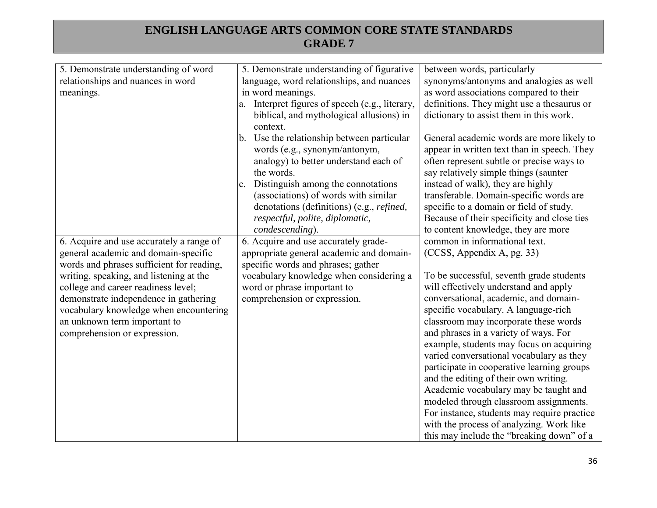| 5. Demonstrate understanding of word                                   | 5. Demonstrate understanding of figurative        | between words, particularly                                                    |
|------------------------------------------------------------------------|---------------------------------------------------|--------------------------------------------------------------------------------|
| relationships and nuances in word                                      | language, word relationships, and nuances         | synonyms/antonyms and analogies as well                                        |
| meanings.                                                              | in word meanings.                                 | as word associations compared to their                                         |
|                                                                        | a. Interpret figures of speech (e.g., literary,   | definitions. They might use a thesaurus or                                     |
|                                                                        | biblical, and mythological allusions) in          | dictionary to assist them in this work.                                        |
|                                                                        | context.                                          |                                                                                |
|                                                                        | Use the relationship between particular<br>b.     | General academic words are more likely to                                      |
|                                                                        | words (e.g., synonym/antonym,                     | appear in written text than in speech. They                                    |
|                                                                        | analogy) to better understand each of             | often represent subtle or precise ways to                                      |
|                                                                        | the words.                                        | say relatively simple things (saunter                                          |
|                                                                        | Distinguish among the connotations<br>c.          | instead of walk), they are highly                                              |
|                                                                        | (associations) of words with similar              | transferable. Domain-specific words are                                        |
|                                                                        | denotations (definitions) (e.g., <i>refined</i> , | specific to a domain or field of study.                                        |
|                                                                        | respectful, polite, diplomatic,                   | Because of their specificity and close ties                                    |
|                                                                        | condescending).                                   | to content knowledge, they are more                                            |
| 6. Acquire and use accurately a range of                               | 6. Acquire and use accurately grade-              | common in informational text.                                                  |
| general academic and domain-specific                                   | appropriate general academic and domain-          | (CCSS, Appendix A, pg. 33)                                                     |
| words and phrases sufficient for reading,                              | specific words and phrases; gather                |                                                                                |
| writing, speaking, and listening at the                                | vocabulary knowledge when considering a           | To be successful, seventh grade students                                       |
| college and career readiness level;                                    | word or phrase important to                       | will effectively understand and apply<br>conversational, academic, and domain- |
| demonstrate independence in gathering                                  | comprehension or expression.                      | specific vocabulary. A language-rich                                           |
| vocabulary knowledge when encountering<br>an unknown term important to |                                                   | classroom may incorporate these words                                          |
| comprehension or expression.                                           |                                                   | and phrases in a variety of ways. For                                          |
|                                                                        |                                                   | example, students may focus on acquiring                                       |
|                                                                        |                                                   | varied conversational vocabulary as they                                       |
|                                                                        |                                                   | participate in cooperative learning groups                                     |
|                                                                        |                                                   | and the editing of their own writing.                                          |
|                                                                        |                                                   | Academic vocabulary may be taught and                                          |
|                                                                        |                                                   | modeled through classroom assignments.                                         |
|                                                                        |                                                   | For instance, students may require practice                                    |
|                                                                        |                                                   | with the process of analyzing. Work like                                       |
|                                                                        |                                                   | this may include the "breaking down" of a                                      |